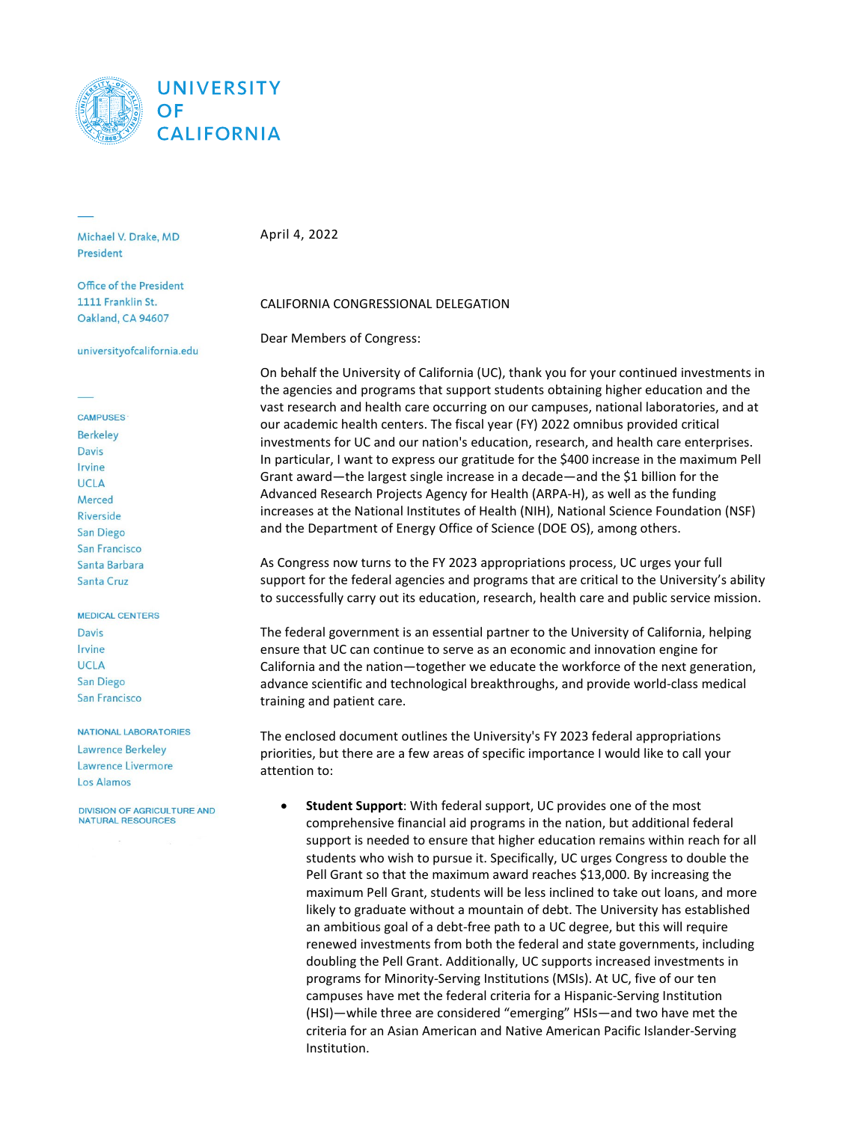

Michael V. Drake, MD President

Office of the President 1111 Franklin St. Oakland, CA 94607

universityofcalifornia.edu

**CAMPUSES Berkelev Davis** Irvine **UCLA** Merced Riverside San Diego **San Francisco** Santa Barbara **Santa Cruz** 

#### **MEDICAL CENTERS**

**Davis** Irvine **UCLA San Diego San Francisco** 

#### **NATIONAL LABORATORIES**

Lawrence Berkeley **Lawrence Livermore Los Alamos** 

**DIVISION OF AGRICULTURE AND NATURAL RESOURCES** 

April 4, 2022

#### CALIFORNIA CONGRESSIONAL DELEGATION

Dear Members of Congress:

On behalf the University of California (UC), thank you for your continued investments in the agencies and programs that support students obtaining higher education and the vast research and health care occurring on our campuses, national laboratories, and at our academic health centers. The fiscal year (FY) 2022 omnibus provided critical investments for UC and our nation's education, research, and health care enterprises. In particular, I want to express our gratitude for the \$400 increase in the maximum Pell Grant award—the largest single increase in a decade—and the \$1 billion for the Advanced Research Projects Agency for Health (ARPA-H), as well as the funding increases at the National Institutes of Health (NIH), National Science Foundation (NSF) and the Department of Energy Office of Science (DOE OS), among others.

As Congress now turns to the FY 2023 appropriations process, UC urges your full support for the federal agencies and programs that are critical to the University's ability to successfully carry out its education, research, health care and public service mission.

The federal government is an essential partner to the University of California, helping ensure that UC can continue to serve as an economic and innovation engine for California and the nation—together we educate the workforce of the next generation, advance scientific and technological breakthroughs, and provide world-class medical training and patient care.

The enclosed document outlines the University's FY 2023 federal appropriations priorities, but there are a few areas of specific importance I would like to call your attention to:

• **Student Support**: With federal support, UC provides one of the most comprehensive financial aid programs in the nation, but additional federal support is needed to ensure that higher education remains within reach for all students who wish to pursue it. Specifically, UC urges Congress to double the Pell Grant so that the maximum award reaches \$13,000. By increasing the maximum Pell Grant, students will be less inclined to take out loans, and more likely to graduate without a mountain of debt. The University has established an ambitious goal of a debt-free path to a UC degree, but this will require renewed investments from both the federal and state governments, including doubling the Pell Grant. Additionally, UC supports increased investments in programs for Minority-Serving Institutions (MSIs). At UC, five of our ten campuses have met the federal criteria for a Hispanic-Serving Institution (HSI)—while three are considered "emerging" HSIs—and two have met the criteria for an Asian American and Native American Pacific Islander-Serving Institution.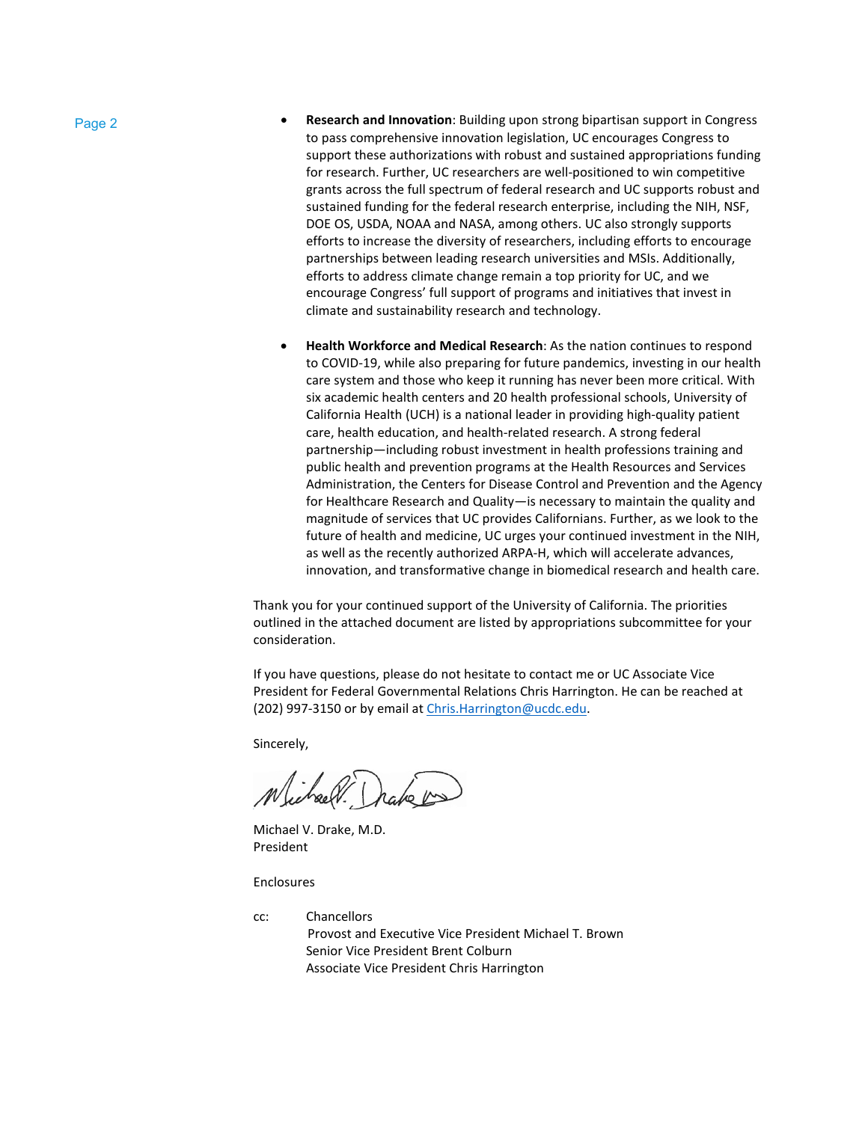- Page 2  **Research and Innovation**: Building upon strong bipartisan support in Congress to pass comprehensive innovation legislation, UC encourages Congress to support these authorizations with robust and sustained appropriations funding for research. Further, UC researchers are well-positioned to win competitive grants across the full spectrum of federal research and UC supports robust and sustained funding for the federal research enterprise, including the NIH, NSF, DOE OS, USDA, NOAA and NASA, among others. UC also strongly supports efforts to increase the diversity of researchers, including efforts to encourage partnerships between leading research universities and MSIs. Additionally, efforts to address climate change remain a top priority for UC, and we encourage Congress' full support of programs and initiatives that invest in climate and sustainability research and technology.
	- **Health Workforce and Medical Research**: As the nation continues to respond to COVID-19, while also preparing for future pandemics, investing in our health care system and those who keep it running has never been more critical. With six academic health centers and 20 health professional schools, University of California Health (UCH) is a national leader in providing high-quality patient care, health education, and health-related research. A strong federal partnership—including robust investment in health professions training and public health and prevention programs at the Health Resources and Services Administration, the Centers for Disease Control and Prevention and the Agency for Healthcare Research and Quality—is necessary to maintain the quality and magnitude of services that UC provides Californians. Further, as we look to the future of health and medicine, UC urges your continued investment in the NIH, as well as the recently authorized ARPA-H, which will accelerate advances, innovation, and transformative change in biomedical research and health care.

Thank you for your continued support of the University of California. The priorities outlined in the attached document are listed by appropriations subcommittee for your consideration.

If you have questions, please do not hesitate to contact me or UC Associate Vice President for Federal Governmental Relations Chris Harrington. He can be reached at (202) 997-3150 or by email at [Chris.Harrington@ucdc.edu.](mailto:Chris.Harrington@ucdc.edu)

Sincerely,

Michael.

Michael V. Drake, M.D. President

Enclosures

cc: Chancellors Provost and Executive Vice President Michael T. Brown Senior Vice President Brent Colburn Associate Vice President Chris Harrington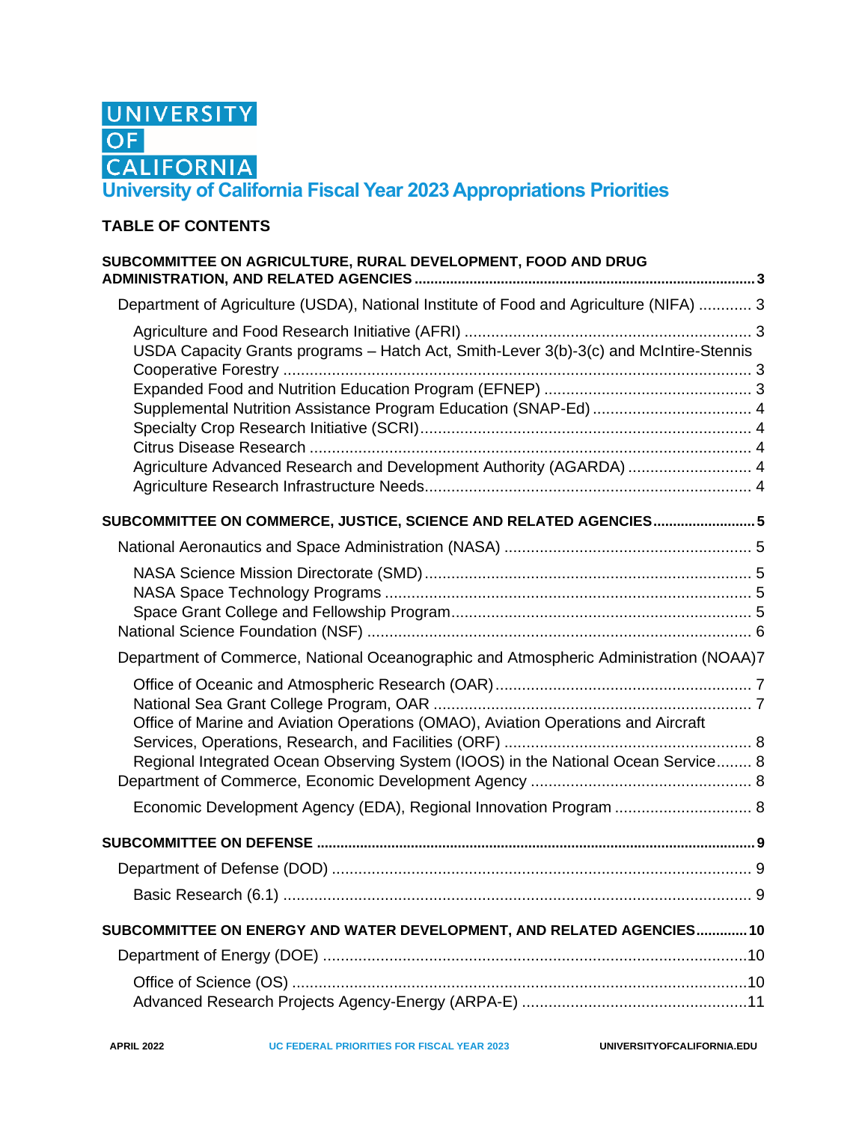

# **TABLE OF CONTENTS**

| SUBCOMMITTEE ON AGRICULTURE, RURAL DEVELOPMENT, FOOD AND DRUG                          |  |
|----------------------------------------------------------------------------------------|--|
| Department of Agriculture (USDA), National Institute of Food and Agriculture (NIFA)  3 |  |
| USDA Capacity Grants programs - Hatch Act, Smith-Lever 3(b)-3(c) and McIntire-Stennis  |  |
|                                                                                        |  |
| Supplemental Nutrition Assistance Program Education (SNAP-Ed)  4                       |  |
|                                                                                        |  |
|                                                                                        |  |
| Agriculture Advanced Research and Development Authority (AGARDA)  4                    |  |
|                                                                                        |  |
| SUBCOMMITTEE ON COMMERCE, JUSTICE, SCIENCE AND RELATED AGENCIES 5                      |  |
|                                                                                        |  |
|                                                                                        |  |
|                                                                                        |  |
|                                                                                        |  |
|                                                                                        |  |
| Department of Commerce, National Oceanographic and Atmospheric Administration (NOAA)7  |  |
|                                                                                        |  |
|                                                                                        |  |
| Office of Marine and Aviation Operations (OMAO), Aviation Operations and Aircraft      |  |
| Regional Integrated Ocean Observing System (IOOS) in the National Ocean Service 8      |  |
|                                                                                        |  |
| Economic Development Agency (EDA), Regional Innovation Program  8                      |  |
|                                                                                        |  |
|                                                                                        |  |
|                                                                                        |  |
|                                                                                        |  |
| SUBCOMMITTEE ON ENERGY AND WATER DEVELOPMENT, AND RELATED AGENCIES10                   |  |
|                                                                                        |  |
|                                                                                        |  |
|                                                                                        |  |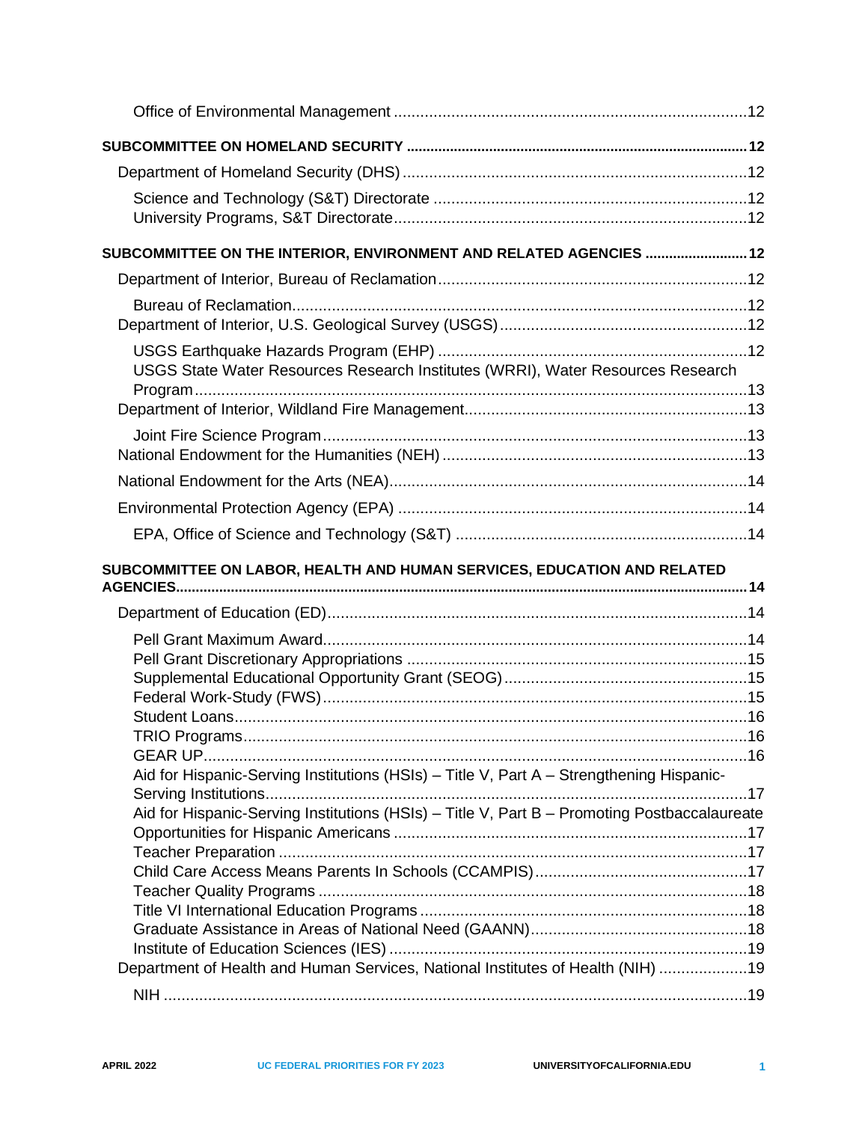| SUBCOMMITTEE ON THE INTERIOR, ENVIRONMENT AND RELATED AGENCIES  12                           |  |
|----------------------------------------------------------------------------------------------|--|
|                                                                                              |  |
|                                                                                              |  |
|                                                                                              |  |
| USGS State Water Resources Research Institutes (WRRI), Water Resources Research              |  |
|                                                                                              |  |
|                                                                                              |  |
|                                                                                              |  |
|                                                                                              |  |
|                                                                                              |  |
|                                                                                              |  |
|                                                                                              |  |
| SUBCOMMITTEE ON LABOR, HEALTH AND HUMAN SERVICES, EDUCATION AND RELATED                      |  |
|                                                                                              |  |
|                                                                                              |  |
|                                                                                              |  |
|                                                                                              |  |
|                                                                                              |  |
|                                                                                              |  |
|                                                                                              |  |
| Aid for Hispanic-Serving Institutions (HSIs) - Title V, Part A - Strengthening Hispanic-     |  |
|                                                                                              |  |
| Aid for Hispanic-Serving Institutions (HSIs) - Title V, Part B - Promoting Postbaccalaureate |  |
|                                                                                              |  |
|                                                                                              |  |
|                                                                                              |  |
|                                                                                              |  |
|                                                                                              |  |
|                                                                                              |  |
| Department of Health and Human Services, National Institutes of Health (NIH) 19              |  |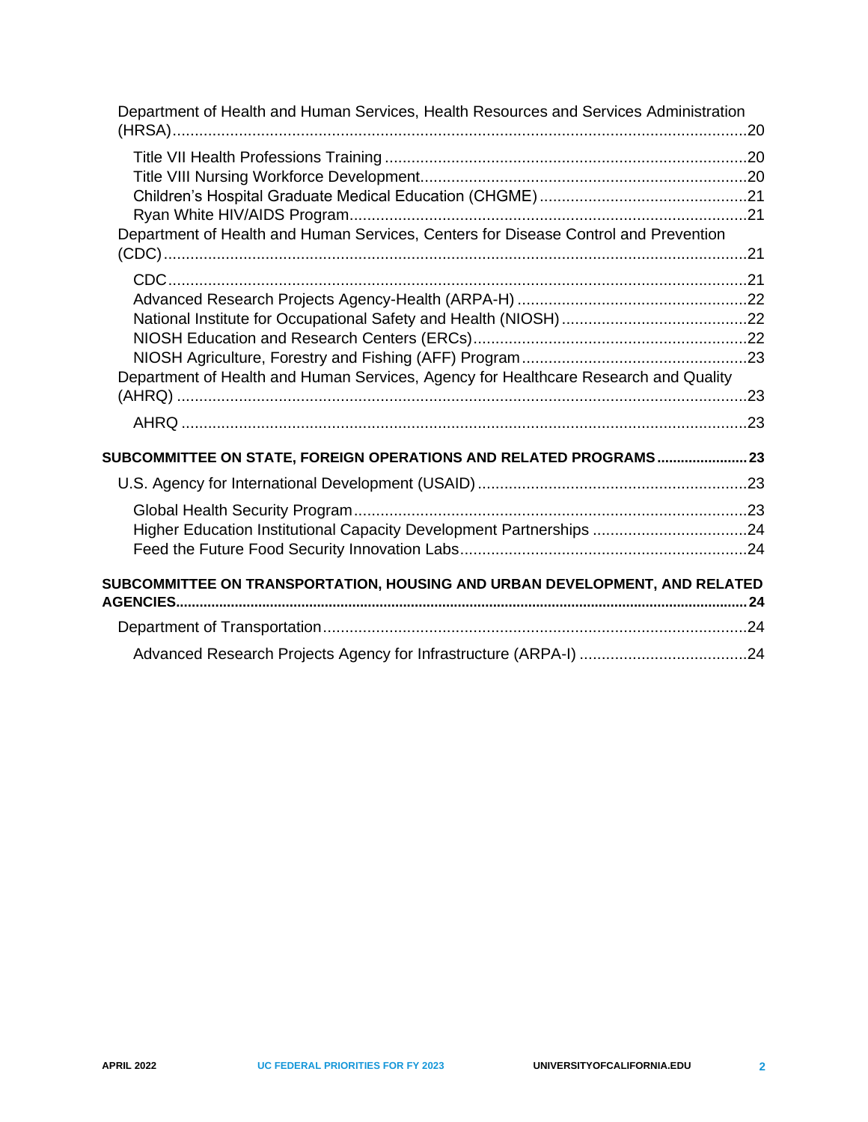| Department of Health and Human Services, Health Resources and Services Administration |  |
|---------------------------------------------------------------------------------------|--|
|                                                                                       |  |
|                                                                                       |  |
|                                                                                       |  |
|                                                                                       |  |
| Department of Health and Human Services, Centers for Disease Control and Prevention   |  |
|                                                                                       |  |
|                                                                                       |  |
|                                                                                       |  |
|                                                                                       |  |
|                                                                                       |  |
|                                                                                       |  |
| Department of Health and Human Services, Agency for Healthcare Research and Quality   |  |
|                                                                                       |  |
|                                                                                       |  |
|                                                                                       |  |
| SUBCOMMITTEE ON STATE, FOREIGN OPERATIONS AND RELATED PROGRAMS 23                     |  |
|                                                                                       |  |
|                                                                                       |  |
| Higher Education Institutional Capacity Development Partnerships 24                   |  |
|                                                                                       |  |
|                                                                                       |  |
| SUBCOMMITTEE ON TRANSPORTATION, HOUSING AND URBAN DEVELOPMENT, AND RELATED            |  |
|                                                                                       |  |
|                                                                                       |  |
|                                                                                       |  |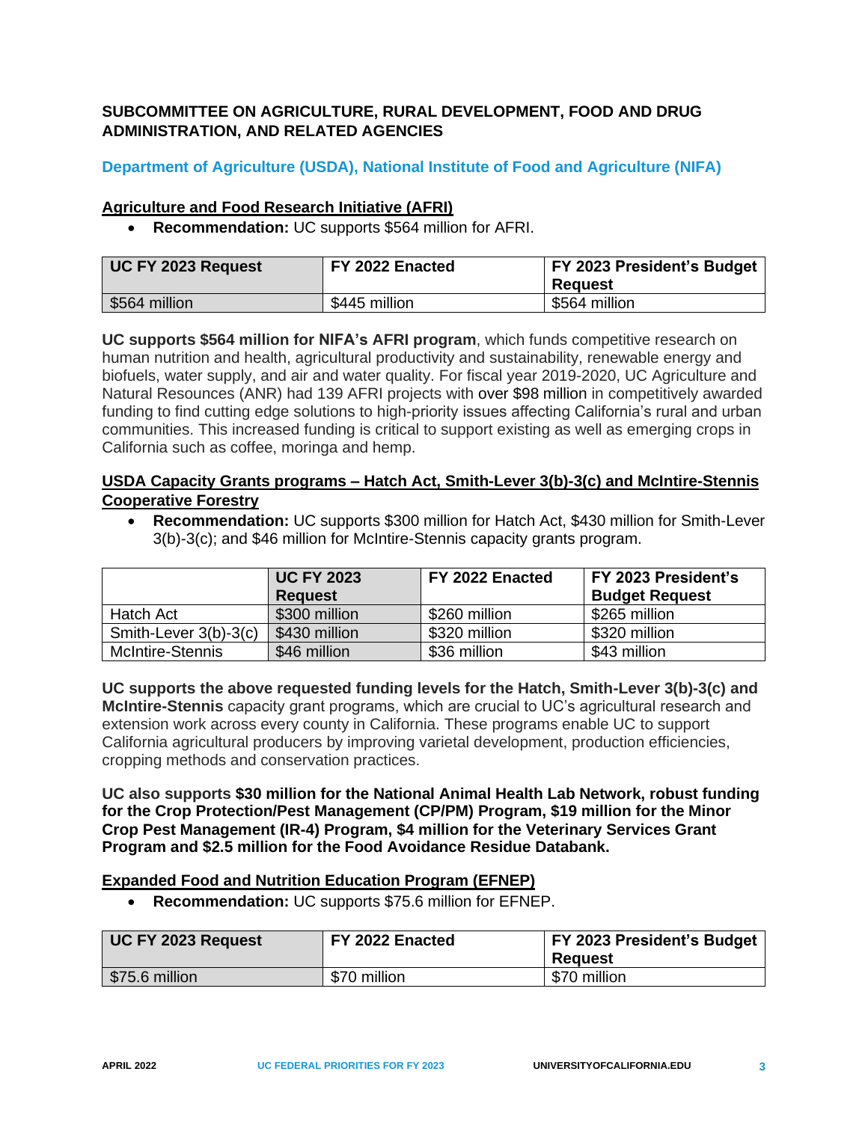# <span id="page-5-0"></span>**SUBCOMMITTEE ON AGRICULTURE, RURAL DEVELOPMENT, FOOD AND DRUG ADMINISTRATION, AND RELATED AGENCIES**

# <span id="page-5-1"></span>**Department of Agriculture (USDA), National Institute of Food and Agriculture (NIFA)**

#### <span id="page-5-2"></span>**Agriculture and Food Research Initiative (AFRI)**

• **Recommendation:** UC supports \$564 million for AFRI.

| <b>UC FY 2023 Request</b> | FY 2022 Enacted | <b>FY 2023 President's Budget</b><br>Reauest |
|---------------------------|-----------------|----------------------------------------------|
| \$564 million             | \$445 million   | \$564 million                                |

**UC supports \$564 million for NIFA's AFRI program**, which funds competitive research on human nutrition and health, agricultural productivity and sustainability, renewable energy and biofuels, water supply, and air and water quality. For fiscal year 2019-2020, UC Agriculture and Natural Resounces (ANR) had 139 AFRI projects with over \$98 million in competitively awarded funding to find cutting edge solutions to high-priority issues affecting California's rural and urban communities. This increased funding is critical to support existing as well as emerging crops in California such as coffee, moringa and hemp.

## <span id="page-5-3"></span>**USDA Capacity Grants programs – Hatch Act, Smith-Lever 3(b)-3(c) and McIntire-Stennis Cooperative Forestry**

• **Recommendation:** UC supports \$300 million for Hatch Act, \$430 million for Smith-Lever 3(b)-3(c); and \$46 million for McIntire-Stennis capacity grants program.

|                       | <b>UC FY 2023</b><br><b>Request</b> | FY 2022 Enacted | FY 2023 President's<br><b>Budget Request</b> |
|-----------------------|-------------------------------------|-----------------|----------------------------------------------|
| Hatch Act             | \$300 million                       | \$260 million   | \$265 million                                |
| Smith-Lever 3(b)-3(c) | \$430 million                       | \$320 million   | \$320 million                                |
| McIntire-Stennis      | \$46 million                        | \$36 million    | \$43 million                                 |

**UC supports the above requested funding levels for the Hatch, Smith-Lever 3(b)-3(c) and McIntire-Stennis** capacity grant programs, which are crucial to UC's agricultural research and extension work across every county in California. These programs enable UC to support California agricultural producers by improving varietal development, production efficiencies, cropping methods and conservation practices.

**UC also supports \$30 million for the National Animal Health Lab Network, robust funding for the Crop Protection/Pest Management (CP/PM) Program, \$19 million for the Minor Crop Pest Management (IR-4) Program, \$4 million for the Veterinary Services Grant Program and \$2.5 million for the Food Avoidance Residue Databank.**

## <span id="page-5-4"></span>**Expanded Food and Nutrition Education Program (EFNEP)**

• **Recommendation:** UC supports \$75.6 million for EFNEP.

| UC FY 2023 Request | FY 2022 Enacted | FY 2023 President's Budget<br><b>Reguest</b> |
|--------------------|-----------------|----------------------------------------------|
| \$75.6 million     | \$70 million    | \$70 million                                 |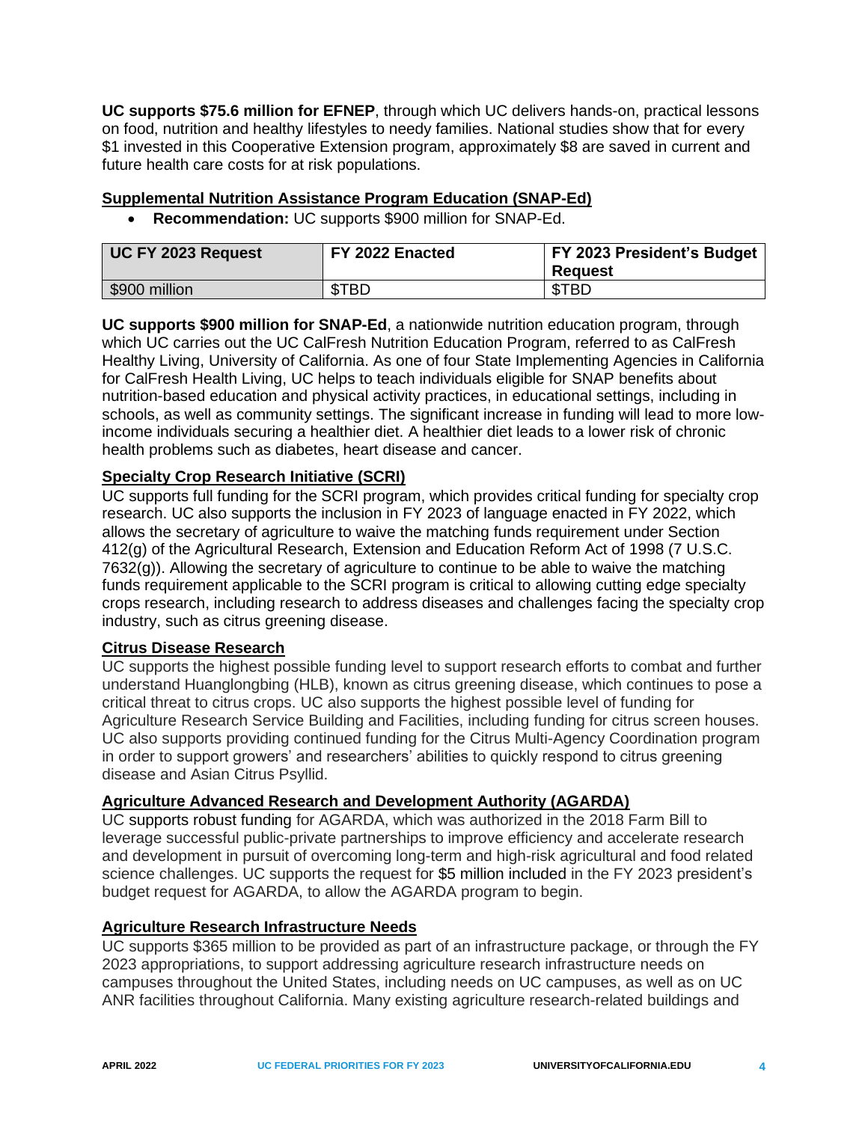**UC supports \$75.6 million for EFNEP**, through which UC delivers hands-on, practical lessons on food, nutrition and healthy lifestyles to needy families. National studies show that for every \$1 invested in this Cooperative Extension program, approximately \$8 are saved in current and future health care costs for at risk populations.

## <span id="page-6-0"></span>**Supplemental Nutrition Assistance Program Education (SNAP-Ed)**

• **Recommendation:** UC supports \$900 million for SNAP-Ed.

| UC FY 2023 Request | FY 2022 Enacted | FY 2023 President's Budget<br><b>Reguest</b> |
|--------------------|-----------------|----------------------------------------------|
| \$900 million      | \$TBD           | <b>STBD</b>                                  |

**UC supports \$900 million for SNAP-Ed**, a nationwide nutrition education program, through which UC carries out the UC CalFresh Nutrition Education Program, referred to as CalFresh Healthy Living, University of California. As one of four State Implementing Agencies in California for CalFresh Health Living, UC helps to teach individuals eligible for SNAP benefits about nutrition-based education and physical activity practices, in educational settings, including in schools, as well as community settings. The significant increase in funding will lead to more lowincome individuals securing a healthier diet. A healthier diet leads to a lower risk of chronic health problems such as diabetes, heart disease and cancer.

## <span id="page-6-1"></span>**Specialty Crop Research Initiative (SCRI)**

UC supports full funding for the SCRI program, which provides critical funding for specialty crop research. UC also supports the inclusion in FY 2023 of language enacted in FY 2022, which allows the secretary of agriculture to waive the matching funds requirement under Section 412(g) of the Agricultural Research, Extension and Education Reform Act of 1998 (7 U.S.C. 7632(g)). Allowing the secretary of agriculture to continue to be able to waive the matching funds requirement applicable to the SCRI program is critical to allowing cutting edge specialty crops research, including research to address diseases and challenges facing the specialty crop industry, such as citrus greening disease.

#### <span id="page-6-2"></span>**Citrus Disease Research**

UC supports the highest possible funding level to support research efforts to combat and further understand Huanglongbing (HLB), known as citrus greening disease, which continues to pose a critical threat to citrus crops. UC also supports the highest possible level of funding for Agriculture Research Service Building and Facilities, including funding for citrus screen houses. UC also supports providing continued funding for the Citrus Multi-Agency Coordination program in order to support growers' and researchers' abilities to quickly respond to citrus greening disease and Asian Citrus Psyllid.

## <span id="page-6-3"></span>**Agriculture Advanced Research and Development Authority (AGARDA)**

UC supports robust funding for AGARDA, which was authorized in the 2018 Farm Bill to leverage successful public-private partnerships to improve efficiency and accelerate research and development in pursuit of overcoming long-term and high-risk agricultural and food related science challenges. UC supports the request for \$5 million included in the FY 2023 president's budget request for AGARDA, to allow the AGARDA program to begin.

## <span id="page-6-4"></span>**Agriculture Research Infrastructure Needs**

UC supports \$365 million to be provided as part of an infrastructure package, or through the FY 2023 appropriations, to support addressing agriculture research infrastructure needs on campuses throughout the United States, including needs on UC campuses, as well as on UC ANR facilities throughout California. Many existing agriculture research-related buildings and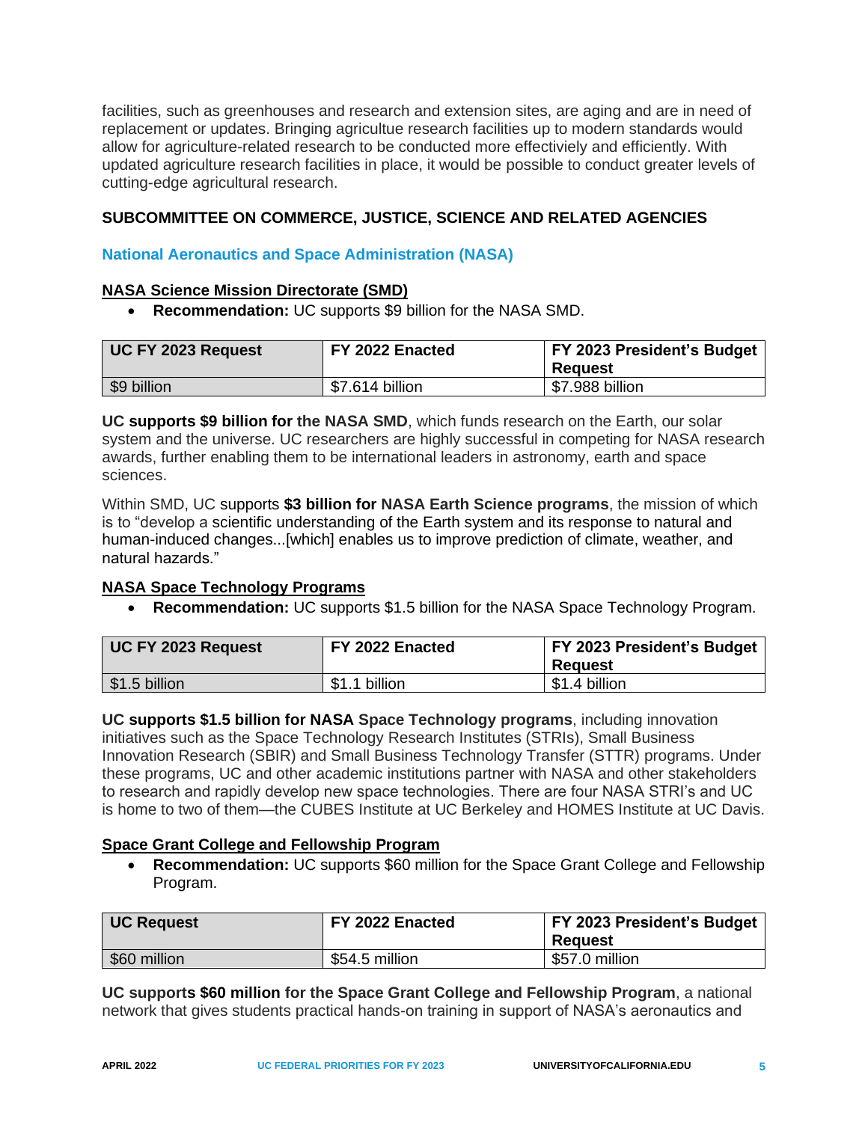facilities, such as greenhouses and research and extension sites, are aging and are in need of replacement or updates. Bringing agricultue research facilities up to modern standards would allow for agriculture-related research to be conducted more effectiviely and efficiently. With updated agriculture research facilities in place, it would be possible to conduct greater levels of cutting-edge agricultural research.

## <span id="page-7-0"></span>**SUBCOMMITTEE ON COMMERCE, JUSTICE, SCIENCE AND RELATED AGENCIES**

## <span id="page-7-1"></span>**National Aeronautics and Space Administration (NASA)**

#### <span id="page-7-2"></span>**NASA Science Mission Directorate (SMD)**

• **Recommendation:** UC supports \$9 billion for the NASA SMD.

| UC FY 2023 Request | FY 2022 Enacted | <b>FY 2023 President's Budget</b><br>Reauest |
|--------------------|-----------------|----------------------------------------------|
| \$9 billion        | \$7.614 billion | \$7.988 billion                              |

**UC supports \$9 billion for the NASA SMD**, which funds research on the Earth, our solar system and the universe. UC researchers are highly successful in competing for NASA research awards, further enabling them to be international leaders in astronomy, earth and space sciences.

Within SMD, UC supports **\$3 billion for NASA Earth Science programs**, the mission of which is to "develop a scientific understanding of the Earth system and its response to natural and human-induced changes...[which] enables us to improve prediction of climate, weather, and natural hazards."

## <span id="page-7-3"></span>**NASA Space Technology Programs**

• **Recommendation:** UC supports \$1.5 billion for the NASA Space Technology Program.

| UC FY 2023 Request | FY 2022 Enacted | FY 2023 President's Budget<br>Reauest |
|--------------------|-----------------|---------------------------------------|
| \$1.5 billion      | \$1.1 billion   | \$1.4 billion                         |

**UC supports \$1.5 billion for NASA Space Technology programs**, including innovation initiatives such as the Space Technology Research Institutes (STRIs), Small Business Innovation Research (SBIR) and Small Business Technology Transfer (STTR) programs. Under these programs, UC and other academic institutions partner with NASA and other stakeholders to research and rapidly develop new space technologies. There are four NASA STRI's and UC is home to two of them—the CUBES Institute at UC Berkeley and HOMES Institute at UC Davis.

#### <span id="page-7-4"></span>**Space Grant College and Fellowship Program**

• **Recommendation:** UC supports \$60 million for the Space Grant College and Fellowship Program.

| UC Request   | FY 2022 Enacted | FY 2023 President's Budget<br><b>Reguest</b> |
|--------------|-----------------|----------------------------------------------|
| \$60 million | \$54.5 million  | \$57.0 million                               |

**UC supports \$60 million for the Space Grant College and Fellowship Program**, a national network that gives students practical hands-on training in support of NASA's aeronautics and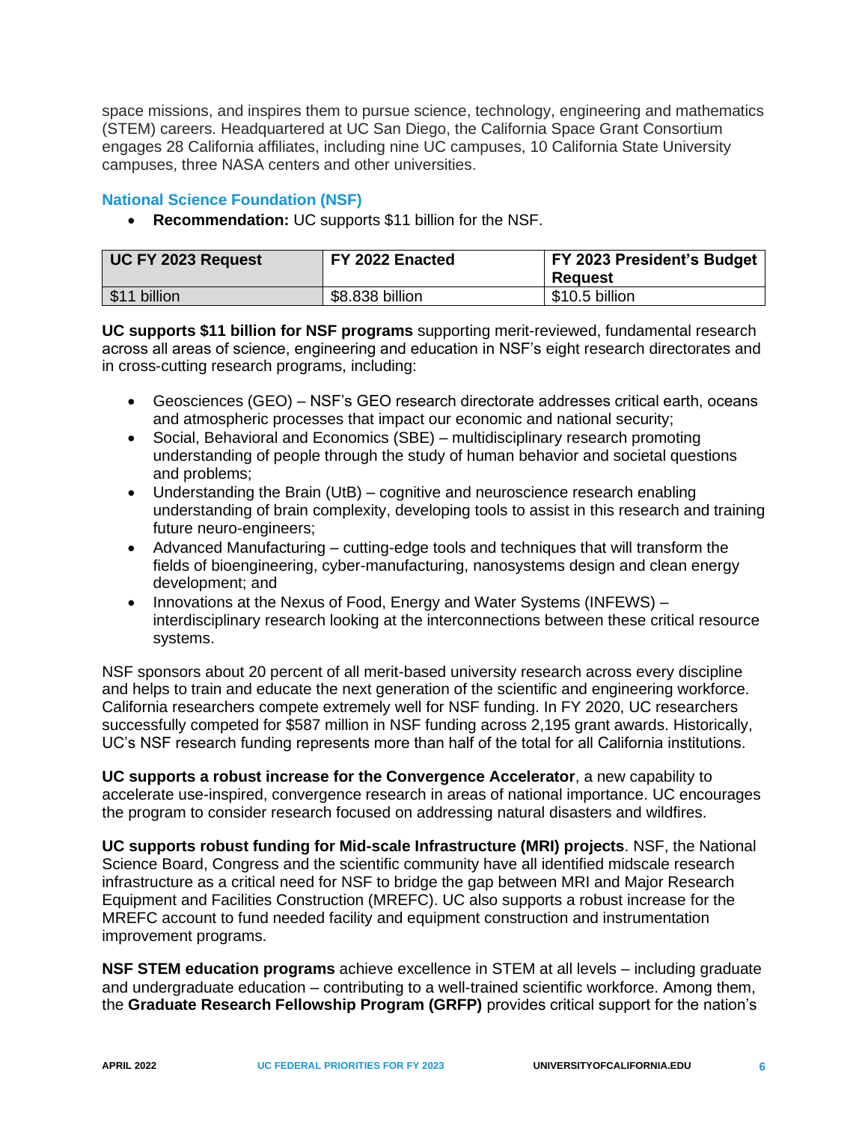space missions, and inspires them to pursue science, technology, engineering and mathematics (STEM) careers. Headquartered at UC San Diego, the California Space Grant Consortium engages 28 California affiliates, including nine UC campuses, 10 California State University campuses, three NASA centers and other universities.

# <span id="page-8-0"></span>**National Science Foundation (NSF)**

• **Recommendation:** UC supports \$11 billion for the NSF.

| UC FY 2023 Request | FY 2022 Enacted | FY 2023 President's Budget<br>Reauest |
|--------------------|-----------------|---------------------------------------|
| \$11 billion       | \$8.838 billion | \$10.5 billion                        |

**UC supports \$11 billion for NSF programs** supporting merit-reviewed, fundamental research across all areas of science, engineering and education in NSF's eight research directorates and in cross-cutting research programs, including:

- Geosciences (GEO) NSF's GEO research directorate addresses critical earth, oceans and atmospheric processes that impact our economic and national security;
- Social, Behavioral and Economics (SBE) multidisciplinary research promoting understanding of people through the study of human behavior and societal questions and problems;
- Understanding the Brain (UtB) cognitive and neuroscience research enabling understanding of brain complexity, developing tools to assist in this research and training future neuro-engineers;
- Advanced Manufacturing cutting-edge tools and techniques that will transform the fields of bioengineering, cyber-manufacturing, nanosystems design and clean energy development; and
- Innovations at the Nexus of Food, Energy and Water Systems (INFEWS) interdisciplinary research looking at the interconnections between these critical resource systems.

NSF sponsors about 20 percent of all merit-based university research across every discipline and helps to train and educate the next generation of the scientific and engineering workforce. California researchers compete extremely well for NSF funding. In FY 2020, UC researchers successfully competed for \$587 million in NSF funding across 2,195 grant awards. Historically, UC's NSF research funding represents more than half of the total for all California institutions.

**UC supports a robust increase for the Convergence Accelerator**, a new capability to accelerate use-inspired, convergence research in areas of national importance. UC encourages the program to consider research focused on addressing natural disasters and wildfires.

**UC supports robust funding for Mid-scale Infrastructure (MRI) projects**. NSF, the National Science Board, Congress and the scientific community have all identified midscale research infrastructure as a critical need for NSF to bridge the gap between MRI and Major Research Equipment and Facilities Construction (MREFC). UC also supports a robust increase for the MREFC account to fund needed facility and equipment construction and instrumentation improvement programs.

**NSF STEM education programs** achieve excellence in STEM at all levels – including graduate and undergraduate education – contributing to a well-trained scientific workforce. Among them, the **Graduate Research Fellowship Program (GRFP)** provides critical support for the nation's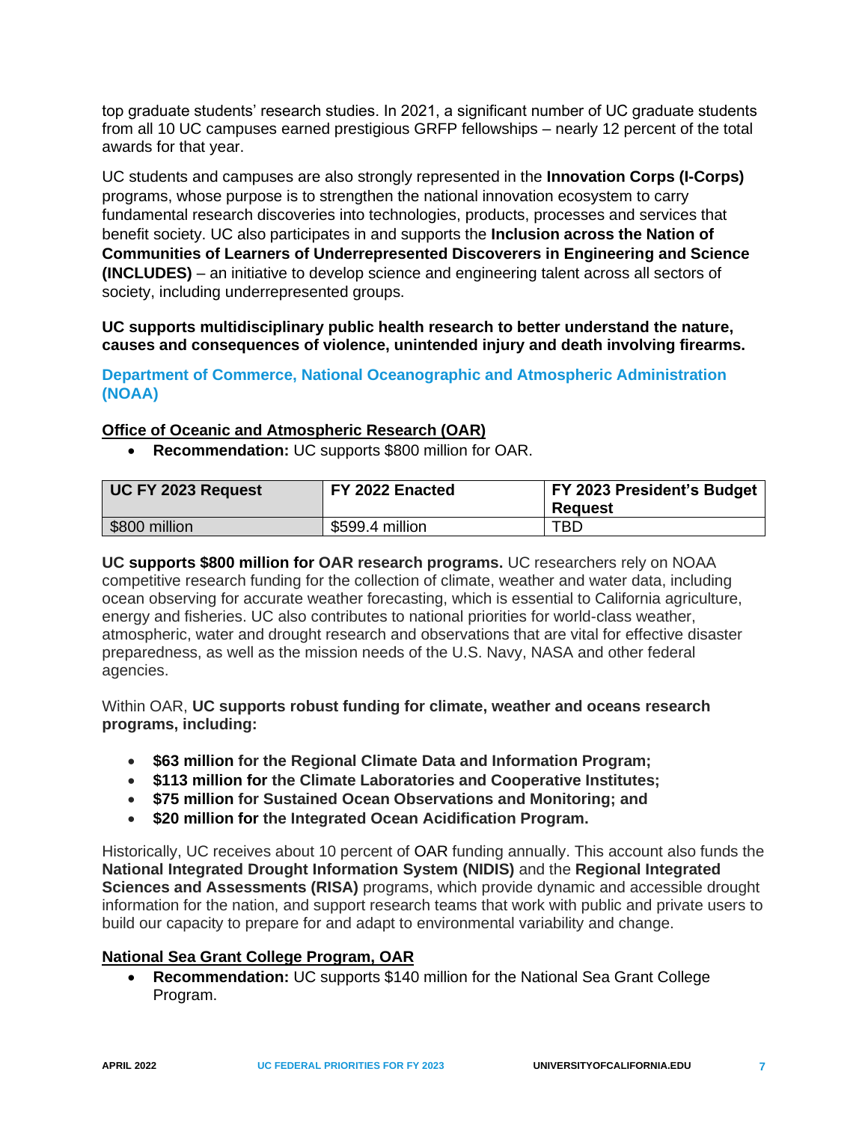top graduate students' research studies. In 2021, a significant number of UC graduate students from all 10 UC campuses earned prestigious GRFP fellowships – nearly 12 percent of the total awards for that year.

UC students and campuses are also strongly represented in the **Innovation Corps (I-Corps)** programs, whose purpose is to strengthen the national innovation ecosystem to carry fundamental research discoveries into technologies, products, processes and services that benefit society. UC also participates in and supports the **Inclusion across the Nation of Communities of Learners of Underrepresented Discoverers in Engineering and Science (INCLUDES)** – an initiative to develop science and engineering talent across all sectors of society, including underrepresented groups.

**UC supports multidisciplinary public health research to better understand the nature, causes and consequences of violence, unintended injury and death involving firearms.**

<span id="page-9-0"></span>**Department of Commerce, National Oceanographic and Atmospheric Administration (NOAA)**

## <span id="page-9-1"></span>**Office of Oceanic and Atmospheric Research (OAR)**

• **Recommendation:** UC supports \$800 million for OAR.

| UC FY 2023 Request | FY 2022 Enacted | <b>FY 2023 President's Budget</b><br>Reauest |
|--------------------|-----------------|----------------------------------------------|
| \$800 million      | \$599.4 million | TBD.                                         |

**UC supports \$800 million for OAR research programs.** UC researchers rely on NOAA competitive research funding for the collection of climate, weather and water data, including ocean observing for accurate weather forecasting, which is essential to California agriculture, energy and fisheries. UC also contributes to national priorities for world-class weather, atmospheric, water and drought research and observations that are vital for effective disaster preparedness, as well as the mission needs of the U.S. Navy, NASA and other federal agencies.

Within OAR, **UC supports robust funding for climate, weather and oceans research programs, including:** 

- **\$63 million for the Regional Climate Data and Information Program;**
- **\$113 million for the Climate Laboratories and Cooperative Institutes;**
- **\$75 million for Sustained Ocean Observations and Monitoring; and**
- **\$20 million for the Integrated Ocean Acidification Program.**

Historically, UC receives about 10 percent of OAR funding annually. This account also funds the **National Integrated Drought Information System (NIDIS)** and the **Regional Integrated Sciences and Assessments (RISA)** programs, which provide dynamic and accessible drought information for the nation, and support research teams that work with public and private users to build our capacity to prepare for and adapt to environmental variability and change.

## <span id="page-9-2"></span>**National Sea Grant College Program, OAR**

• **Recommendation:** UC supports \$140 million for the National Sea Grant College Program.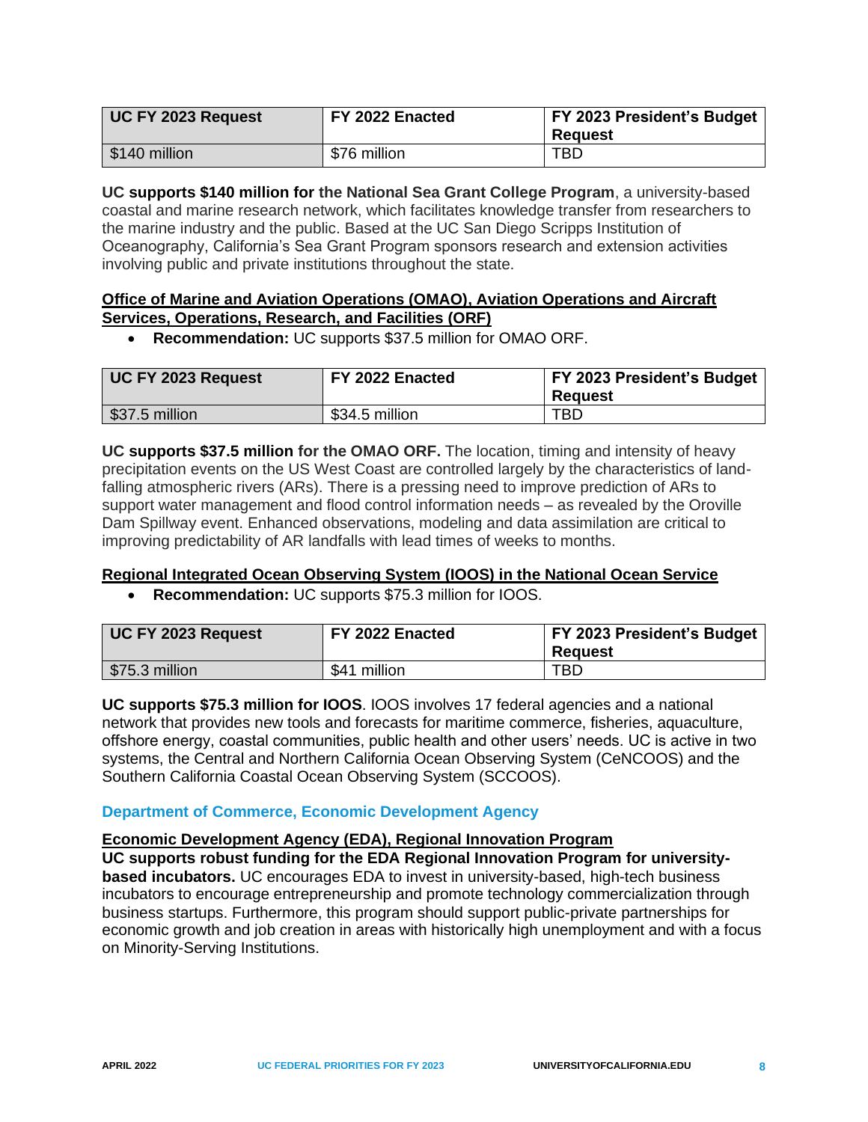| UC FY 2023 Request | FY 2022 Enacted | <b>FY 2023 President's Budget</b><br>Reauest |
|--------------------|-----------------|----------------------------------------------|
| \$140 million      | \$76 million    | TBD.                                         |

**UC supports \$140 million for the National Sea Grant College Program**, a university-based coastal and marine research network, which facilitates knowledge transfer from researchers to the marine industry and the public. Based at the UC San Diego Scripps Institution of Oceanography, California's Sea Grant Program sponsors research and extension activities involving public and private institutions throughout the state.

## <span id="page-10-0"></span>**Office of Marine and Aviation Operations (OMAO), Aviation Operations and Aircraft Services, Operations, Research, and Facilities (ORF)**

• **Recommendation:** UC supports \$37.5 million for OMAO ORF.

| UC FY 2023 Request           | FY 2022 Enacted | <b>FY 2023 President's Budget</b><br><b>Reguest</b> |
|------------------------------|-----------------|-----------------------------------------------------|
| $\frac{1}{2}$ \$37.5 million | \$34.5 million  | TBD.                                                |

**UC supports \$37.5 million for the OMAO ORF.** The location, timing and intensity of heavy precipitation events on the US West Coast are controlled largely by the characteristics of landfalling atmospheric rivers (ARs). There is a pressing need to improve prediction of ARs to support water management and flood control information needs – as revealed by the Oroville Dam Spillway event. Enhanced observations, modeling and data assimilation are critical to improving predictability of AR landfalls with lead times of weeks to months.

## <span id="page-10-1"></span>**Regional Integrated Ocean Observing System (IOOS) in the National Ocean Service**

• **Recommendation:** UC supports \$75.3 million for IOOS.

| UC FY 2023 Request | FY 2022 Enacted | FY 2023 President's Budget<br><b>Reguest</b> |
|--------------------|-----------------|----------------------------------------------|
| \$75.3 million     | \$41 million    | TBD                                          |

**UC supports \$75.3 million for IOOS**. IOOS involves 17 federal agencies and a national network that provides new tools and forecasts for maritime commerce, fisheries, aquaculture, offshore energy, coastal communities, public health and other users' needs. UC is active in two systems, the Central and Northern California Ocean Observing System (CeNCOOS) and the Southern California Coastal Ocean Observing System (SCCOOS).

## <span id="page-10-2"></span>**Department of Commerce, Economic Development Agency**

## <span id="page-10-3"></span>**Economic Development Agency (EDA), Regional Innovation Program**

**UC supports robust funding for the EDA Regional Innovation Program for universitybased incubators.** UC encourages EDA to invest in university-based, high-tech business incubators to encourage entrepreneurship and promote technology commercialization through business startups. Furthermore, this program should support public-private partnerships for economic growth and job creation in areas with historically high unemployment and with a focus on Minority-Serving Institutions.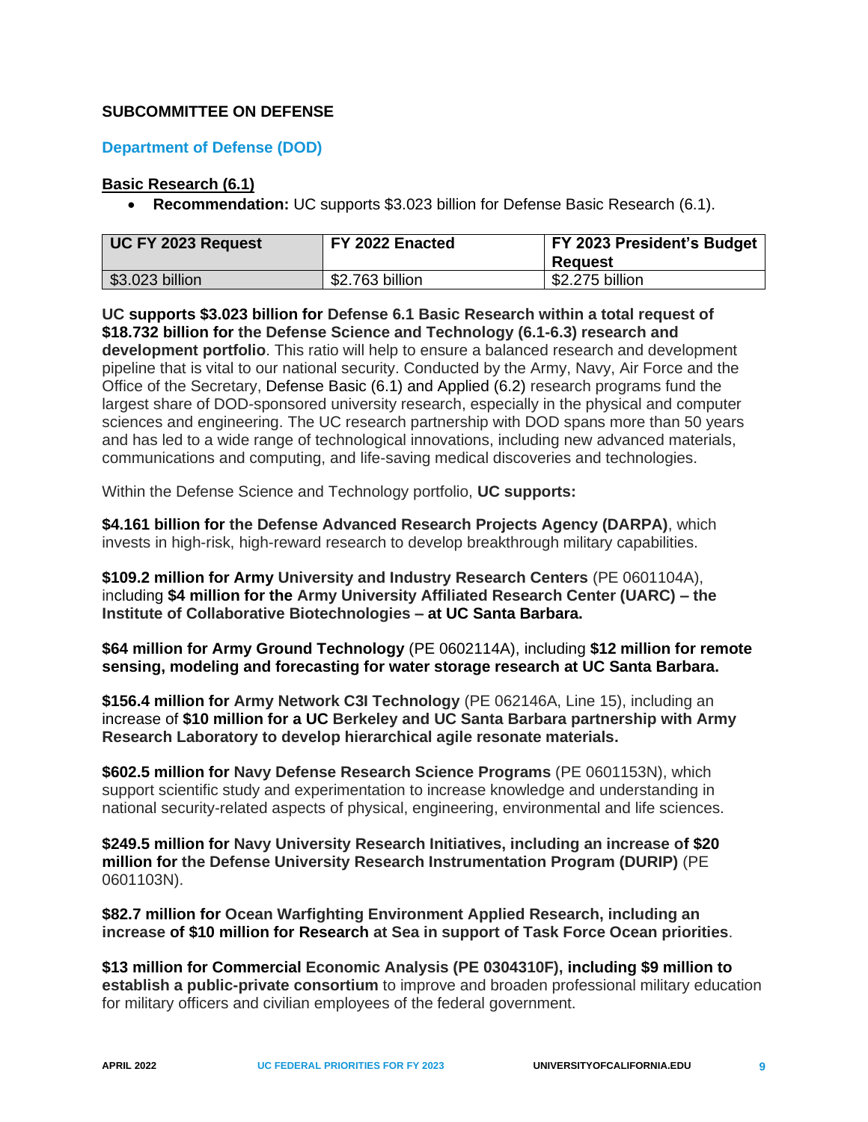## <span id="page-11-0"></span>**SUBCOMMITTEE ON DEFENSE**

## <span id="page-11-1"></span>**Department of Defense (DOD)**

#### <span id="page-11-2"></span>**Basic Research (6.1)**

• **Recommendation:** UC supports \$3.023 billion for Defense Basic Research (6.1).

| UC FY 2023 Request | FY 2022 Enacted | FY 2023 President's Budget<br>Reauest |
|--------------------|-----------------|---------------------------------------|
| \$3.023 billion    | \$2.763 billion | \$2.275 billion                       |

**UC supports \$3.023 billion for Defense 6.1 Basic Research within a total request of \$18.732 billion for the Defense Science and Technology (6.1-6.3) research and development portfolio**. This ratio will help to ensure a balanced research and development pipeline that is vital to our national security. Conducted by the Army, Navy, Air Force and the Office of the Secretary, Defense Basic (6.1) and Applied (6.2) research programs fund the largest share of DOD-sponsored university research, especially in the physical and computer sciences and engineering. The UC research partnership with DOD spans more than 50 years and has led to a wide range of technological innovations, including new advanced materials, communications and computing, and life-saving medical discoveries and technologies.

Within the Defense Science and Technology portfolio, **UC supports:**

**\$4.161 billion for the Defense Advanced Research Projects Agency (DARPA)**, which invests in high-risk, high-reward research to develop breakthrough military capabilities.

**\$109.2 million for Army University and Industry Research Centers** (PE 0601104A), including **\$4 million for the Army University Affiliated Research Center (UARC) – the Institute of Collaborative Biotechnologies – at UC Santa Barbara.**

**\$64 million for Army Ground Technology** (PE 0602114A), including **\$12 million for remote sensing, modeling and forecasting for water storage research at UC Santa Barbara.**

**\$156.4 million for Army Network C3I Technology** (PE 062146A, Line 15), including an increase of **\$10 million for a UC Berkeley and UC Santa Barbara partnership with Army Research Laboratory to develop hierarchical agile resonate materials.**

**\$602.5 million for Navy Defense Research Science Programs** (PE 0601153N), which support scientific study and experimentation to increase knowledge and understanding in national security-related aspects of physical, engineering, environmental and life sciences.

**\$249.5 million for Navy University Research Initiatives, including an increase of \$20 million for the Defense University Research Instrumentation Program (DURIP)** (PE 0601103N).

**\$82.7 million for Ocean Warfighting Environment Applied Research, including an increase of \$10 million for Research at Sea in support of Task Force Ocean priorities**.

**\$13 million for Commercial Economic Analysis (PE 0304310F), including \$9 million to establish a public-private consortium** to improve and broaden professional military education for military officers and civilian employees of the federal government.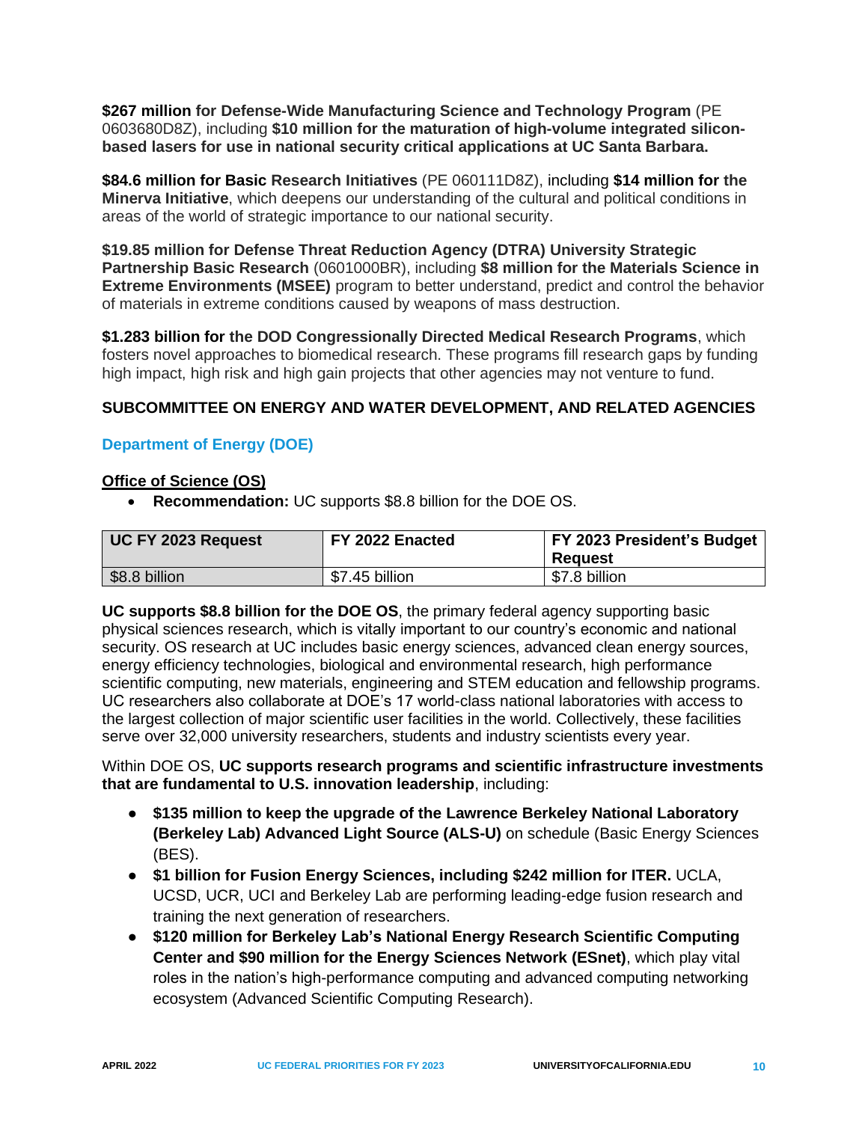**\$267 million for Defense-Wide Manufacturing Science and Technology Program** (PE 0603680D8Z), including **\$10 million for the maturation of high-volume integrated siliconbased lasers for use in national security critical applications at UC Santa Barbara.**

**\$84.6 million for Basic Research Initiatives** (PE 060111D8Z), including **\$14 million for the Minerva Initiative**, which deepens our understanding of the cultural and political conditions in areas of the world of strategic importance to our national security.

**\$19.85 million for Defense Threat Reduction Agency (DTRA) University Strategic Partnership Basic Research** (0601000BR), including **\$8 million for the Materials Science in Extreme Environments (MSEE)** program to better understand, predict and control the behavior of materials in extreme conditions caused by weapons of mass destruction.

**\$1.283 billion for the DOD Congressionally Directed Medical Research Programs**, which fosters novel approaches to biomedical research. These programs fill research gaps by funding high impact, high risk and high gain projects that other agencies may not venture to fund.

# <span id="page-12-0"></span>**SUBCOMMITTEE ON ENERGY AND WATER DEVELOPMENT, AND RELATED AGENCIES**

## <span id="page-12-1"></span>**Department of Energy (DOE)**

## <span id="page-12-2"></span>**Office of Science (OS)**

• **Recommendation:** UC supports \$8.8 billion for the DOE OS.

| UC FY 2023 Request | FY 2022 Enacted | FY 2023 President's Budget<br>Reauest |
|--------------------|-----------------|---------------------------------------|
| \$8.8 billion      | \$7.45 billion  | \$7.8 billion                         |

**UC supports \$8.8 billion for the DOE OS**, the primary federal agency supporting basic physical sciences research, which is vitally important to our country's economic and national security. OS research at UC includes basic energy sciences, advanced clean energy sources, energy efficiency technologies, biological and environmental research, high performance scientific computing, new materials, engineering and STEM education and fellowship programs. UC researchers also collaborate at DOE's 17 world-class national laboratories with access to the largest collection of major scientific user facilities in the world. Collectively, these facilities serve over 32,000 university researchers, students and industry scientists every year.

Within DOE OS, **UC supports research programs and scientific infrastructure investments that are fundamental to U.S. innovation leadership**, including:

- **\$135 million to keep the upgrade of the Lawrence Berkeley National Laboratory (Berkeley Lab) Advanced Light Source (ALS-U)** on schedule (Basic Energy Sciences (BES).
- **\$1 billion for Fusion Energy Sciences, including \$242 million for ITER.** UCLA, UCSD, UCR, UCI and Berkeley Lab are performing leading-edge fusion research and training the next generation of researchers.
- **\$120 million for Berkeley Lab's National Energy Research Scientific Computing Center and \$90 million for the Energy Sciences Network (ESnet)**, which play vital roles in the nation's high-performance computing and advanced computing networking ecosystem (Advanced Scientific Computing Research).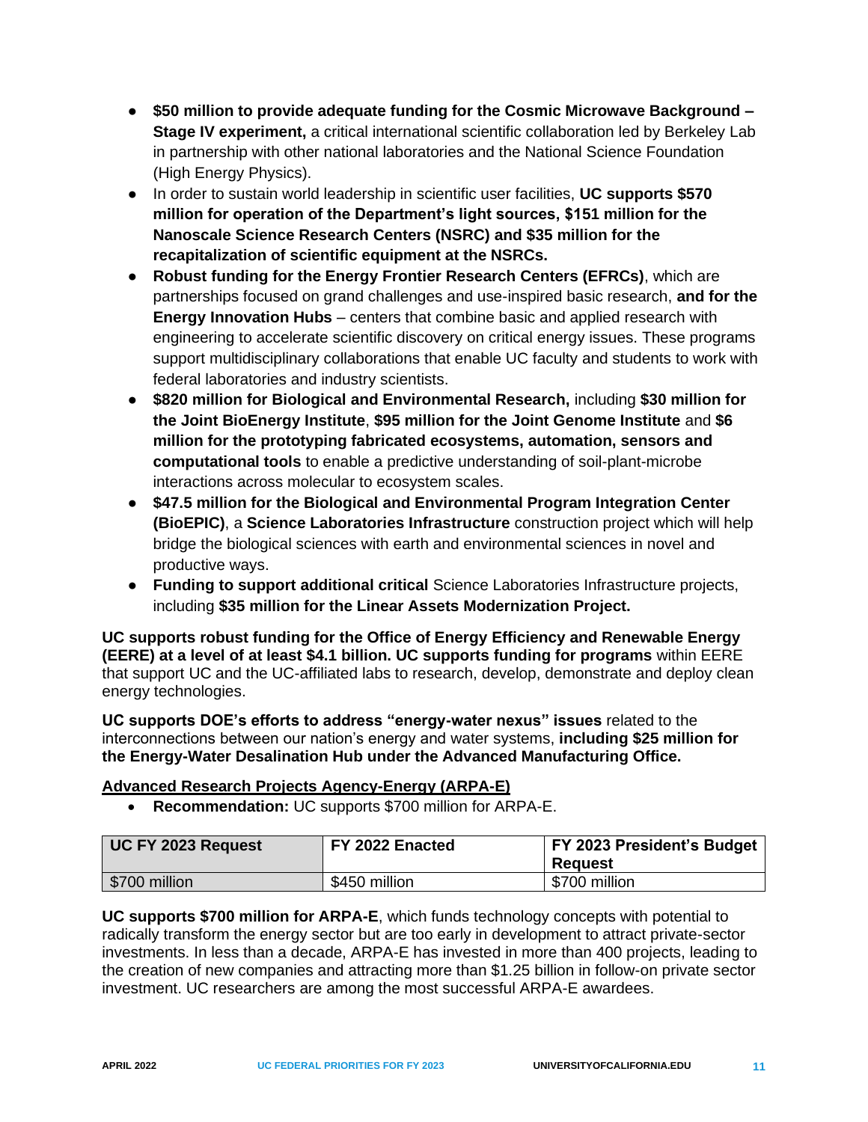- **\$50 million to provide adequate funding for the Cosmic Microwave Background – Stage IV experiment,** a critical international scientific collaboration led by Berkeley Lab in partnership with other national laboratories and the National Science Foundation (High Energy Physics).
- In order to sustain world leadership in scientific user facilities, **UC supports \$570 million for operation of the Department's light sources, \$151 million for the Nanoscale Science Research Centers (NSRC) and \$35 million for the recapitalization of scientific equipment at the NSRCs.**
- **Robust funding for the Energy Frontier Research Centers (EFRCs)**, which are partnerships focused on grand challenges and use-inspired basic research, **and for the Energy Innovation Hubs** – centers that combine basic and applied research with engineering to accelerate scientific discovery on critical energy issues. These programs support multidisciplinary collaborations that enable UC faculty and students to work with federal laboratories and industry scientists.
- **\$820 million for Biological and Environmental Research,** including **\$30 million for the Joint BioEnergy Institute**, **\$95 million for the Joint Genome Institute** and **\$6 million for the prototyping fabricated ecosystems, automation, sensors and computational tools** to enable a predictive understanding of soil-plant-microbe interactions across molecular to ecosystem scales.
- **\$47.5 million for the Biological and Environmental Program Integration Center (BioEPIC)**, a **Science Laboratories Infrastructure** construction project which will help bridge the biological sciences with earth and environmental sciences in novel and productive ways.
- **Funding to support additional critical** Science Laboratories Infrastructure projects, including **\$35 million for the Linear Assets Modernization Project.**

**UC supports robust funding for the Office of Energy Efficiency and Renewable Energy (EERE) at a level of at least \$4.1 billion. UC supports funding for programs** within EERE that support UC and the UC-affiliated labs to research, develop, demonstrate and deploy clean energy technologies.

**UC supports DOE's efforts to address "energy-water nexus" issues** related to the interconnections between our nation's energy and water systems, **including \$25 million for the Energy-Water Desalination Hub under the Advanced Manufacturing Office.**

## <span id="page-13-0"></span>**Advanced Research Projects Agency-Energy (ARPA-E)**

• **Recommendation:** UC supports \$700 million for ARPA-E.

| UC FY 2023 Request | FY 2022 Enacted | FY 2023 President's Budget<br>Reauest |
|--------------------|-----------------|---------------------------------------|
| \$700 million      | \$450 million   | \$700 million                         |

**UC supports \$700 million for ARPA-E**, which funds technology concepts with potential to radically transform the energy sector but are too early in development to attract private-sector investments. In less than a decade, ARPA-E has invested in more than 400 projects, leading to the creation of new companies and attracting more than \$1.25 billion in follow-on private sector investment. UC researchers are among the most successful ARPA-E awardees.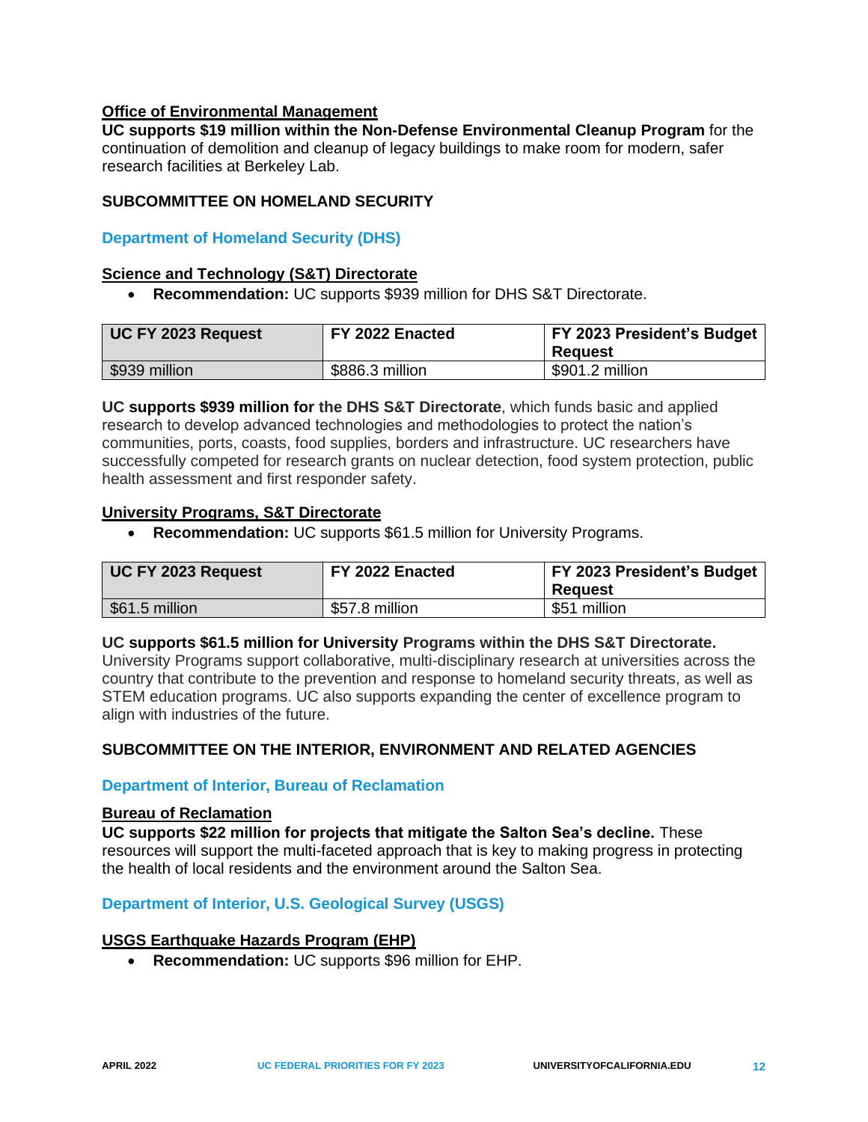## <span id="page-14-0"></span>**Office of Environmental Management**

**UC supports \$19 million within the Non-Defense Environmental Cleanup Program** for the continuation of demolition and cleanup of legacy buildings to make room for modern, safer research facilities at Berkeley Lab.

#### <span id="page-14-1"></span>**SUBCOMMITTEE ON HOMELAND SECURITY**

#### <span id="page-14-2"></span>**Department of Homeland Security (DHS)**

#### <span id="page-14-3"></span>**Science and Technology (S&T) Directorate**

• **Recommendation:** UC supports \$939 million for DHS S&T Directorate.

| UC FY 2023 Request | FY 2022 Enacted | FY 2023 President's Budget<br><b>Reguest</b> |
|--------------------|-----------------|----------------------------------------------|
| \$939 million      | \$886.3 million | \$901.2 million                              |

**UC supports \$939 million for the DHS S&T Directorate**, which funds basic and applied research to develop advanced technologies and methodologies to protect the nation's communities, ports, coasts, food supplies, borders and infrastructure. UC researchers have successfully competed for research grants on nuclear detection, food system protection, public health assessment and first responder safety.

#### <span id="page-14-4"></span>**University Programs, S&T Directorate**

• **Recommendation:** UC supports \$61.5 million for University Programs.

| UC FY 2023 Request | FY 2022 Enacted | <b>FY 2023 President's Budget</b><br>Reguest |
|--------------------|-----------------|----------------------------------------------|
| \$61.5 million     | \$57.8 million  | \$51 million                                 |

#### **UC supports \$61.5 million for University Programs within the DHS S&T Directorate.**

University Programs support collaborative, multi-disciplinary research at universities across the country that contribute to the prevention and response to homeland security threats, as well as STEM education programs. UC also supports expanding the center of excellence program to align with industries of the future.

## <span id="page-14-5"></span>**SUBCOMMITTEE ON THE INTERIOR, ENVIRONMENT AND RELATED AGENCIES**

#### <span id="page-14-6"></span>**Department of Interior, Bureau of Reclamation**

#### <span id="page-14-7"></span>**Bureau of Reclamation**

**UC supports \$22 million for projects that mitigate the Salton Sea's decline.** These resources will support the multi-faceted approach that is key to making progress in protecting the health of local residents and the environment around the Salton Sea.

#### <span id="page-14-8"></span>**Department of Interior, U.S. Geological Survey (USGS)**

#### <span id="page-14-9"></span>**USGS Earthquake Hazards Program (EHP)**

• **Recommendation:** UC supports \$96 million for EHP.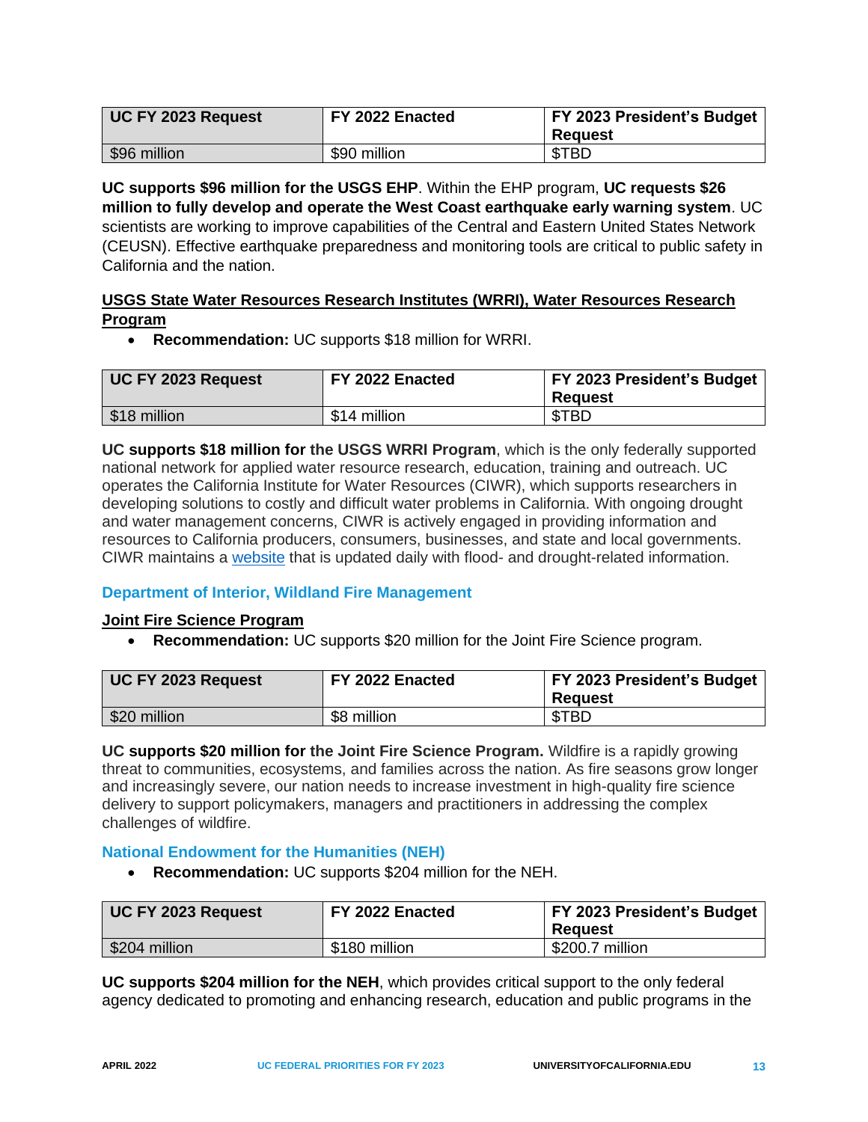| UC FY 2023 Request | FY 2022 Enacted | FY 2023 President's Budget<br>Reauest |
|--------------------|-----------------|---------------------------------------|
| \$96 million       | \$90 million    | \$TBD                                 |

**UC supports \$96 million for the USGS EHP**. Within the EHP program, **UC requests \$26 million to fully develop and operate the West Coast earthquake early warning system**. UC scientists are working to improve capabilities of the Central and Eastern United States Network (CEUSN). Effective earthquake preparedness and monitoring tools are critical to public safety in California and the nation.

## <span id="page-15-0"></span>**USGS State Water Resources Research Institutes (WRRI), Water Resources Research Program**

• **Recommendation:** UC supports \$18 million for WRRI.

| UC FY 2023 Request | FY 2022 Enacted | <b>FY 2023 President's Budget</b><br><b>Request</b> |
|--------------------|-----------------|-----------------------------------------------------|
| \$18 million       | \$14 million    | \$TBD                                               |

**UC supports \$18 million for the USGS WRRI Program**, which is the only federally supported national network for applied water resource research, education, training and outreach. UC operates the California Institute for Water Resources (CIWR), which supports researchers in developing solutions to costly and difficult water problems in California. With ongoing drought and water management concerns, CIWR is actively engaged in providing information and resources to California producers, consumers, businesses, and state and local governments. CIWR maintains a [website](http://ciwr.ucanr.edu/) that is updated daily with flood- and drought-related information.

## <span id="page-15-1"></span>**Department of Interior, Wildland Fire Management**

## <span id="page-15-2"></span>**Joint Fire Science Program**

• **Recommendation:** UC supports \$20 million for the Joint Fire Science program.

| UC FY 2023 Request | FY 2022 Enacted | <b>FY 2023 President's Budget</b><br>Reauest |
|--------------------|-----------------|----------------------------------------------|
| \$20 million       | \$8 million     | \$TBD                                        |

**UC supports \$20 million for the Joint Fire Science Program.** Wildfire is a rapidly growing threat to communities, ecosystems, and families across the nation. As fire seasons grow longer and increasingly severe, our nation needs to increase investment in high-quality fire science delivery to support policymakers, managers and practitioners in addressing the complex challenges of wildfire.

## <span id="page-15-3"></span>**National Endowment for the Humanities (NEH)**

• **Recommendation:** UC supports \$204 million for the NEH.

| UC FY 2023 Request | FY 2022 Enacted | <b>FY 2023 President's Budget</b><br>Reauest |
|--------------------|-----------------|----------------------------------------------|
| \$204 million      | \$180 million   | \$200.7 million                              |

**UC supports \$204 million for the NEH**, which provides critical support to the only federal agency dedicated to promoting and enhancing research, education and public programs in the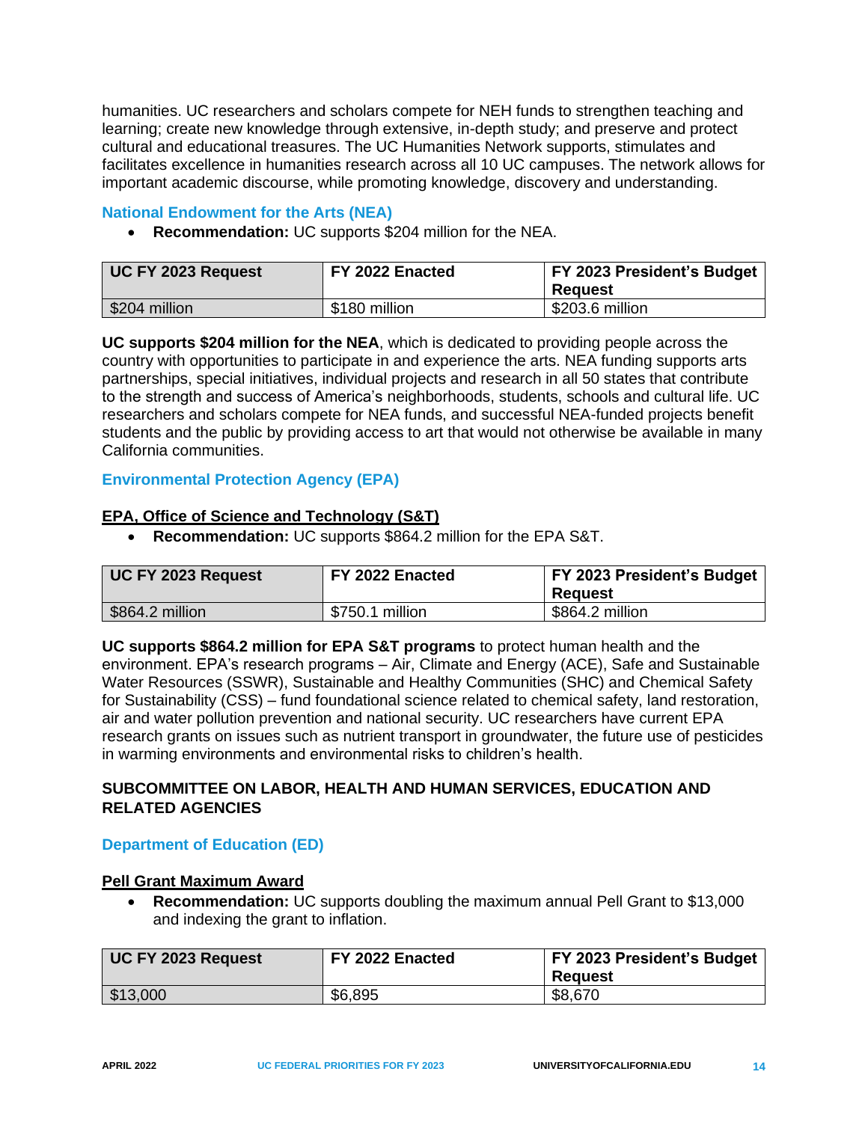humanities. UC researchers and scholars compete for NEH funds to strengthen teaching and learning; create new knowledge through extensive, in-depth study; and preserve and protect cultural and educational treasures. The UC Humanities Network supports, stimulates and facilitates excellence in humanities research across all 10 UC campuses. The network allows for important academic discourse, while promoting knowledge, discovery and understanding.

#### <span id="page-16-0"></span>**National Endowment for the Arts (NEA)**

• **Recommendation:** UC supports \$204 million for the NEA.

| UC FY 2023 Request | FY 2022 Enacted | <b>FY 2023 President's Budget</b><br>Reauest |
|--------------------|-----------------|----------------------------------------------|
| \$204 million      | \$180 million   | \$203.6 million                              |

**UC supports \$204 million for the NEA**, which is dedicated to providing people across the country with opportunities to participate in and experience the arts. NEA funding supports arts partnerships, special initiatives, individual projects and research in all 50 states that contribute to the strength and success of America's neighborhoods, students, schools and cultural life. UC researchers and scholars compete for NEA funds, and successful NEA-funded projects benefit students and the public by providing access to art that would not otherwise be available in many California communities.

# <span id="page-16-1"></span>**Environmental Protection Agency (EPA)**

## <span id="page-16-2"></span>**EPA, Office of Science and Technology (S&T)**

• **Recommendation:** UC supports \$864.2 million for the EPA S&T.

| UC FY 2023 Request | FY 2022 Enacted | FY 2023 President's Budget<br>Reauest |
|--------------------|-----------------|---------------------------------------|
| \$864.2 million    | \$750.1 million | \$864.2 million                       |

**UC supports \$864.2 million for EPA S&T programs** to protect human health and the environment. EPA's research programs – Air, Climate and Energy (ACE), Safe and Sustainable Water Resources (SSWR), Sustainable and Healthy Communities (SHC) and Chemical Safety for Sustainability (CSS) – fund foundational science related to chemical safety, land restoration, air and water pollution prevention and national security. UC researchers have current EPA research grants on issues such as nutrient transport in groundwater, the future use of pesticides in warming environments and environmental risks to children's health.

## <span id="page-16-3"></span>**SUBCOMMITTEE ON LABOR, HEALTH AND HUMAN SERVICES, EDUCATION AND RELATED AGENCIES**

## <span id="page-16-4"></span>**Department of Education (ED)**

## <span id="page-16-5"></span>**Pell Grant Maximum Award**

• **Recommendation:** UC supports doubling the maximum annual Pell Grant to \$13,000 and indexing the grant to inflation.

| UC FY 2023 Request | FY 2022 Enacted | FY 2023 President's Budget<br>Reauest |
|--------------------|-----------------|---------------------------------------|
| \$13,000           | \$6,895         | \$8,670                               |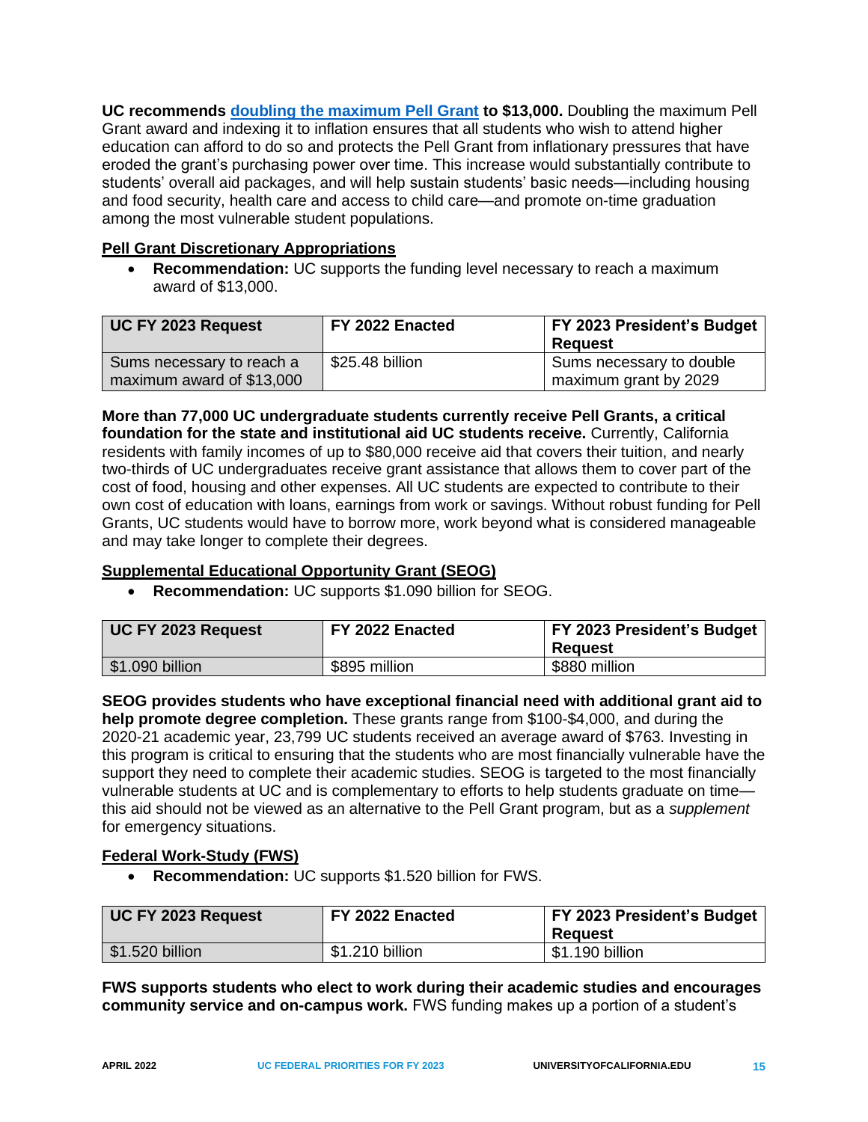**UC recommends [doubling the maximum Pell Grant](https://www.universityofcalifornia.edu/double-the-pell) to \$13,000.** Doubling the maximum Pell Grant award and indexing it to inflation ensures that all students who wish to attend higher education can afford to do so and protects the Pell Grant from inflationary pressures that have eroded the grant's purchasing power over time. This increase would substantially contribute to students' overall aid packages, and will help sustain students' basic needs—including housing and food security, health care and access to child care—and promote on-time graduation among the most vulnerable student populations.

## <span id="page-17-0"></span>**Pell Grant Discretionary Appropriations**

• **Recommendation:** UC supports the funding level necessary to reach a maximum award of \$13,000.

| UC FY 2023 Request        | FY 2022 Enacted | <b>FY 2023 President's Budget</b> |
|---------------------------|-----------------|-----------------------------------|
|                           |                 | Reauest                           |
| Sums necessary to reach a | \$25.48 billion | Sums necessary to double          |
| maximum award of \$13,000 |                 | maximum grant by 2029             |

**More than 77,000 UC undergraduate students currently receive Pell Grants, a critical foundation for the state and institutional aid UC students receive.** Currently, California residents with family incomes of up to \$80,000 receive aid that covers their tuition, and nearly two-thirds of UC undergraduates receive grant assistance that allows them to cover part of the cost of food, housing and other expenses. All UC students are expected to contribute to their own cost of education with loans, earnings from work or savings. Without robust funding for Pell Grants, UC students would have to borrow more, work beyond what is considered manageable and may take longer to complete their degrees.

## <span id="page-17-1"></span>**Supplemental Educational Opportunity Grant (SEOG)**

• **Recommendation:** UC supports \$1.090 billion for SEOG.

| UC FY 2023 Request            | FY 2022 Enacted | FY 2023 President's Budget<br>Reauest |
|-------------------------------|-----------------|---------------------------------------|
| $\frac{1}{2}$ \$1.090 billion | \$895 million   | \$880 million                         |

**SEOG provides students who have exceptional financial need with additional grant aid to help promote degree completion.** These grants range from \$100-\$4,000, and during the 2020-21 academic year, 23,799 UC students received an average award of \$763. Investing in this program is critical to ensuring that the students who are most financially vulnerable have the support they need to complete their academic studies. SEOG is targeted to the most financially vulnerable students at UC and is complementary to efforts to help students graduate on time this aid should not be viewed as an alternative to the Pell Grant program, but as a *supplement* for emergency situations.

## <span id="page-17-2"></span>**Federal Work-Study (FWS)**

• **Recommendation:** UC supports \$1.520 billion for FWS.

| UC FY 2023 Request | FY 2022 Enacted | <b>FY 2023 President's Budget</b><br>Reauest |
|--------------------|-----------------|----------------------------------------------|
| $$1.520$ billion   | \$1.210 billion | \$1.190 billion                              |

**FWS supports students who elect to work during their academic studies and encourages community service and on-campus work.** FWS funding makes up a portion of a student's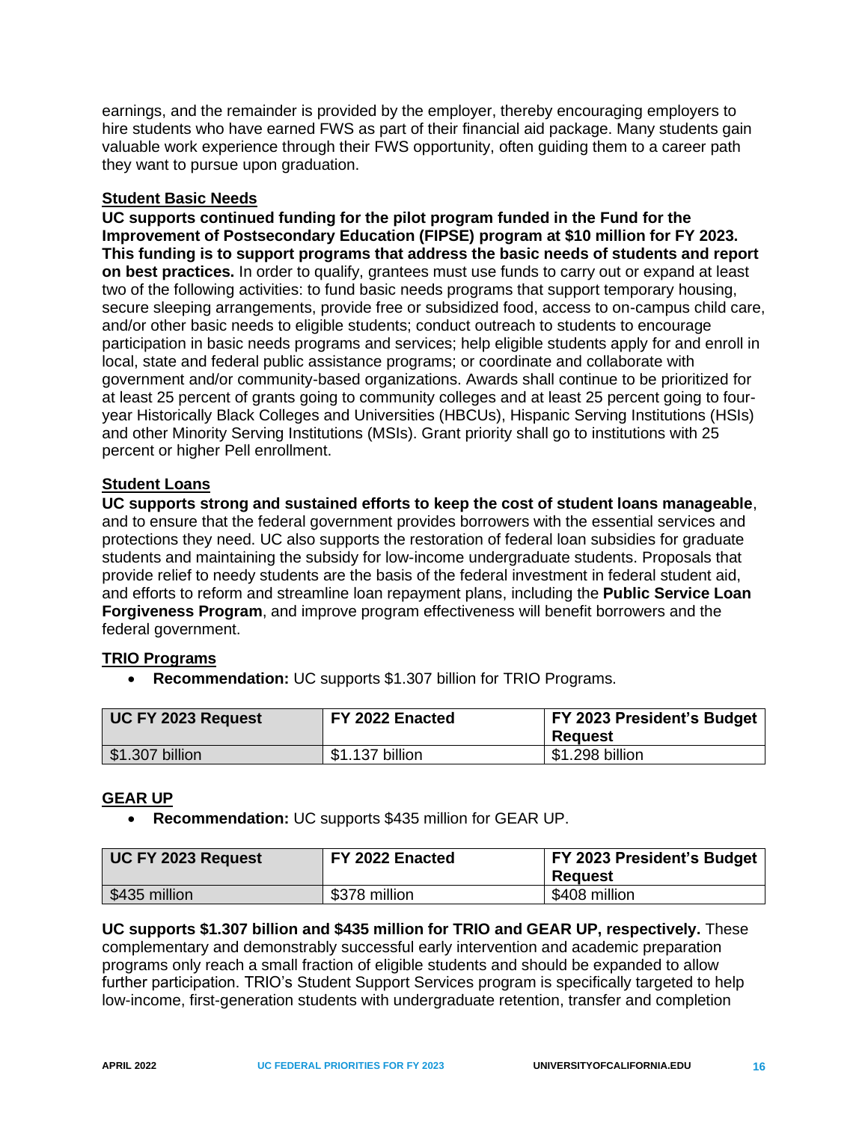earnings, and the remainder is provided by the employer, thereby encouraging employers to hire students who have earned FWS as part of their financial aid package. Many students gain valuable work experience through their FWS opportunity, often guiding them to a career path they want to pursue upon graduation.

## **Student Basic Needs**

**UC supports continued funding for the pilot program funded in the Fund for the Improvement of Postsecondary Education (FIPSE) program at \$10 million for FY 2023. This funding is to support programs that address the basic needs of students and report on best practices.** In order to qualify, grantees must use funds to carry out or expand at least two of the following activities: to fund basic needs programs that support temporary housing, secure sleeping arrangements, provide free or subsidized food, access to on-campus child care, and/or other basic needs to eligible students; conduct outreach to students to encourage participation in basic needs programs and services; help eligible students apply for and enroll in local, state and federal public assistance programs; or coordinate and collaborate with government and/or community-based organizations. Awards shall continue to be prioritized for at least 25 percent of grants going to community colleges and at least 25 percent going to fouryear Historically Black Colleges and Universities (HBCUs), Hispanic Serving Institutions (HSIs) and other Minority Serving Institutions (MSIs). Grant priority shall go to institutions with 25 percent or higher Pell enrollment.

# <span id="page-18-0"></span>**Student Loans**

**UC supports strong and sustained efforts to keep the cost of student loans manageable**, and to ensure that the federal government provides borrowers with the essential services and protections they need. UC also supports the restoration of federal loan subsidies for graduate students and maintaining the subsidy for low-income undergraduate students. Proposals that provide relief to needy students are the basis of the federal investment in federal student aid, and efforts to reform and streamline loan repayment plans, including the **Public Service Loan Forgiveness Program**, and improve program effectiveness will benefit borrowers and the federal government.

## <span id="page-18-1"></span>**TRIO Programs**

• **Recommendation:** UC supports \$1.307 billion for TRIO Programs.

| UC FY 2023 Request | FY 2022 Enacted | <b>FY 2023 President's Budget</b><br>Reauest |
|--------------------|-----------------|----------------------------------------------|
| \$1.307 billion    | \$1.137 billion | \$1.298 billion                              |

# <span id="page-18-2"></span>**GEAR UP**

• **Recommendation:** UC supports \$435 million for GEAR UP.

| UC FY 2023 Request | FY 2022 Enacted | <b>FY 2023 President's Budget</b><br>Reauest |
|--------------------|-----------------|----------------------------------------------|
| \$435 million      | \$378 million   | \$408 million                                |

#### **UC supports \$1.307 billion and \$435 million for TRIO and GEAR UP, respectively.** These complementary and demonstrably successful early intervention and academic preparation programs only reach a small fraction of eligible students and should be expanded to allow further participation. TRIO's Student Support Services program is specifically targeted to help low-income, first-generation students with undergraduate retention, transfer and completion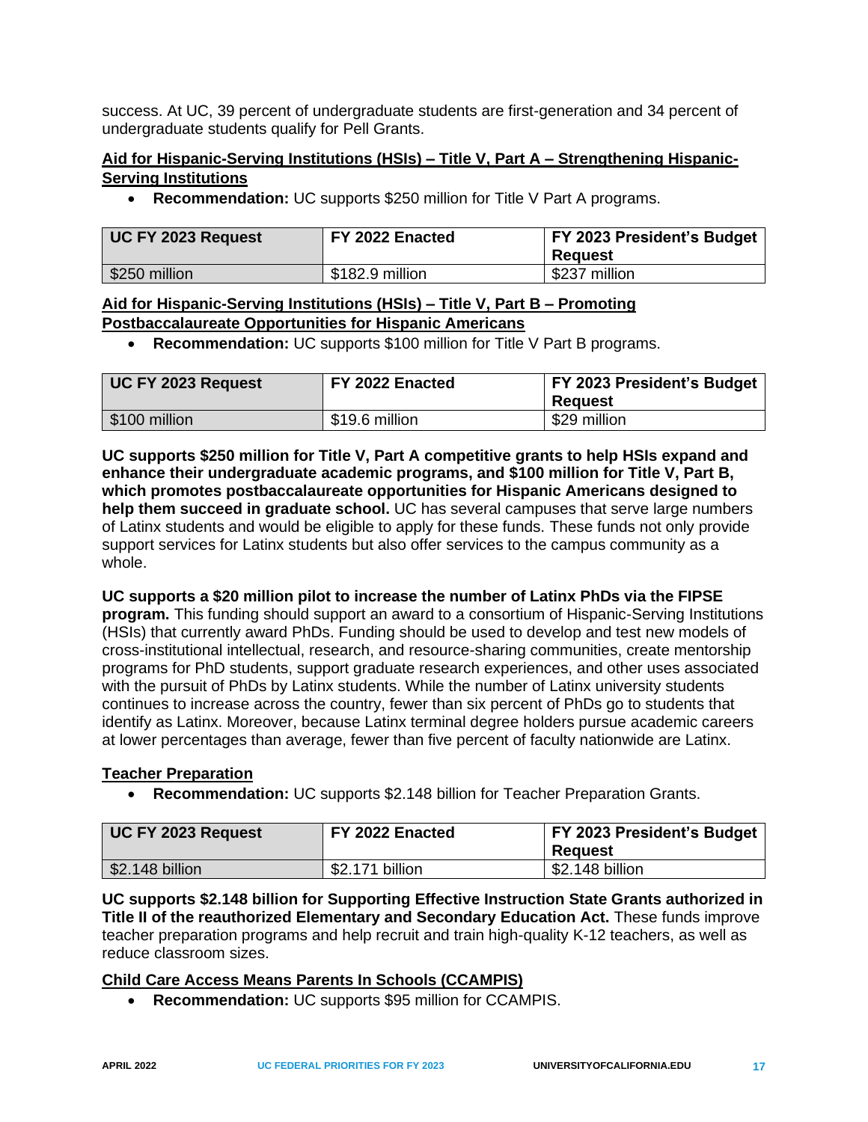success. At UC, 39 percent of undergraduate students are first-generation and 34 percent of undergraduate students qualify for Pell Grants.

# <span id="page-19-0"></span>**Aid for Hispanic-Serving Institutions (HSIs) – Title V, Part A – Strengthening Hispanic-Serving Institutions**

• **Recommendation:** UC supports \$250 million for Title V Part A programs.

| UC FY 2023 Request | FY 2022 Enacted | <b>FY 2023 President's Budget</b><br>Reauest |
|--------------------|-----------------|----------------------------------------------|
| \$250 million      | \$182.9 million | \$237 million                                |

## <span id="page-19-1"></span>**Aid for Hispanic-Serving Institutions (HSIs) – Title V, Part B – Promoting Postbaccalaureate Opportunities for Hispanic Americans**

• **Recommendation:** UC supports \$100 million for Title V Part B programs.

| UC FY 2023 Request | FY 2022 Enacted | FY 2023 President's Budget<br>Reauest |
|--------------------|-----------------|---------------------------------------|
| \$100 million      | \$19.6 million  | \$29 million                          |

**UC supports \$250 million for Title V, Part A competitive grants to help HSIs expand and enhance their undergraduate academic programs, and \$100 million for Title V, Part B, which promotes postbaccalaureate opportunities for Hispanic Americans designed to help them succeed in graduate school.** UC has several campuses that serve large numbers of Latinx students and would be eligible to apply for these funds. These funds not only provide support services for Latinx students but also offer services to the campus community as a whole.

#### **UC supports a \$20 million pilot to increase the number of Latinx PhDs via the FIPSE**

**program.** This funding should support an award to a consortium of Hispanic-Serving Institutions (HSIs) that currently award PhDs. Funding should be used to develop and test new models of cross-institutional intellectual, research, and resource-sharing communities, create mentorship programs for PhD students, support graduate research experiences, and other uses associated with the pursuit of PhDs by Latinx students. While the number of Latinx university students continues to increase across the country, fewer than six percent of PhDs go to students that identify as Latinx. Moreover, because Latinx terminal degree holders pursue academic careers at lower percentages than average, fewer than five percent of faculty nationwide are Latinx.

## <span id="page-19-2"></span>**Teacher Preparation**

• **Recommendation:** UC supports \$2.148 billion for Teacher Preparation Grants.

| UC FY 2023 Request | FY 2022 Enacted | FY 2023 President's Budget<br>Reauest |
|--------------------|-----------------|---------------------------------------|
| $$2.148$ billion   | \$2.171 billion | \$2.148 billion                       |

**UC supports \$2.148 billion for Supporting Effective Instruction State Grants authorized in Title II of the reauthorized Elementary and Secondary Education Act.** These funds improve teacher preparation programs and help recruit and train high-quality K-12 teachers, as well as reduce classroom sizes.

## <span id="page-19-3"></span>**Child Care Access Means Parents In Schools (CCAMPIS)**

• **Recommendation:** UC supports \$95 million for CCAMPIS.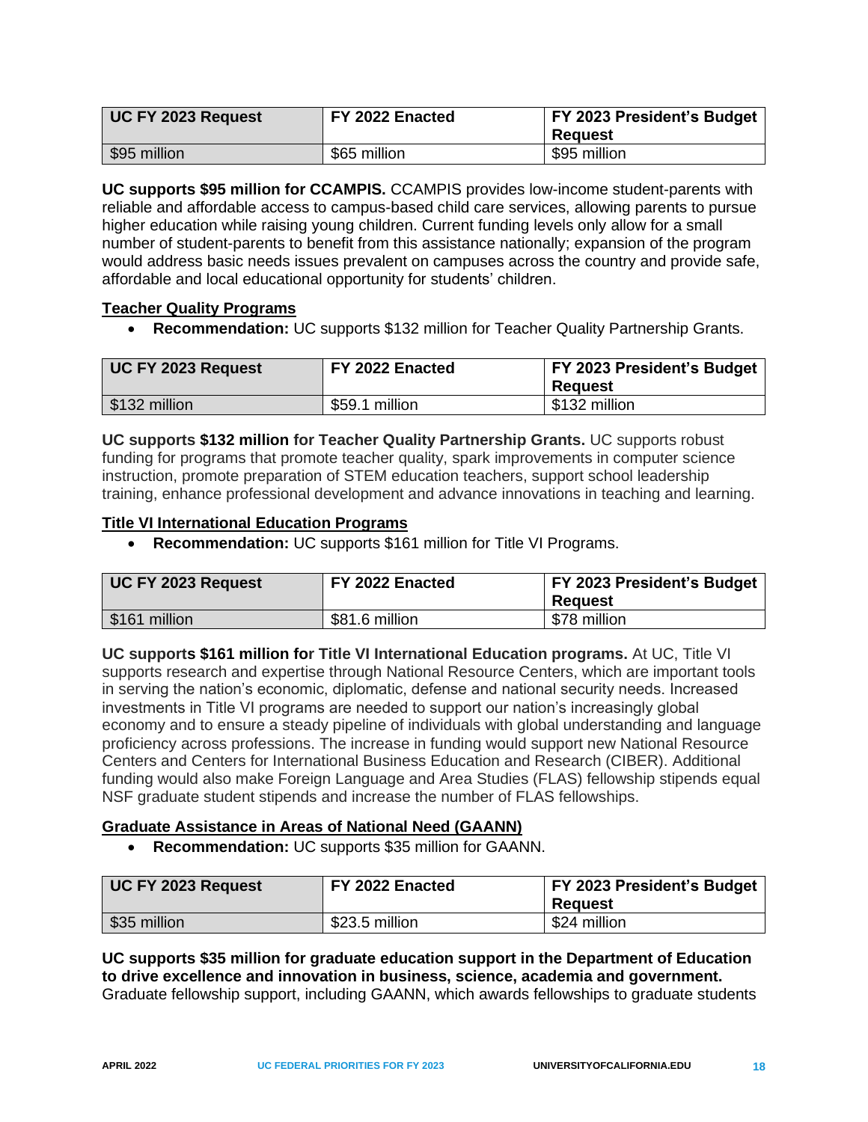| UC FY 2023 Request | FY 2022 Enacted | FY 2023 President's Budget<br><b>Reguest</b> |
|--------------------|-----------------|----------------------------------------------|
| \$95 million       | \$65 million    | \$95 million                                 |

**UC supports \$95 million for CCAMPIS.** CCAMPIS provides low-income student-parents with reliable and affordable access to campus-based child care services, allowing parents to pursue higher education while raising young children. Current funding levels only allow for a small number of student-parents to benefit from this assistance nationally; expansion of the program would address basic needs issues prevalent on campuses across the country and provide safe, affordable and local educational opportunity for students' children.

## <span id="page-20-0"></span>**Teacher Quality Programs**

• **Recommendation:** UC supports \$132 million for Teacher Quality Partnership Grants.

| UC FY 2023 Request | FY 2022 Enacted | FY 2023 President's Budget<br>Reauest |
|--------------------|-----------------|---------------------------------------|
| \$132 million      | \$59.1 million  | \$132 million                         |

**UC supports \$132 million for Teacher Quality Partnership Grants.** UC supports robust funding for programs that promote teacher quality, spark improvements in computer science instruction, promote preparation of STEM education teachers, support school leadership training, enhance professional development and advance innovations in teaching and learning.

#### <span id="page-20-1"></span>**Title VI International Education Programs**

• **Recommendation:** UC supports \$161 million for Title VI Programs.

| UC FY 2023 Request | FY 2022 Enacted | FY 2023 President's Budget |
|--------------------|-----------------|----------------------------|
|                    |                 | Reauest                    |
| \$161 million      | \$81.6 million  | \$78 million               |

**UC supports \$161 million for Title VI International Education programs.** At UC, Title VI supports research and expertise through National Resource Centers, which are important tools in serving the nation's economic, diplomatic, defense and national security needs. Increased investments in Title VI programs are needed to support our nation's increasingly global economy and to ensure a steady pipeline of individuals with global understanding and language proficiency across professions. The increase in funding would support new National Resource Centers and Centers for International Business Education and Research (CIBER). Additional funding would also make Foreign Language and Area Studies (FLAS) fellowship stipends equal NSF graduate student stipends and increase the number of FLAS fellowships.

#### <span id="page-20-2"></span>**Graduate Assistance in Areas of National Need (GAANN)**

• **Recommendation:** UC supports \$35 million for GAANN.

| UC FY 2023 Request | FY 2022 Enacted | <b>FY 2023 President's Budget</b><br>Reauest |
|--------------------|-----------------|----------------------------------------------|
| \$35 million       | \$23.5 million  | \$24 million                                 |

**UC supports \$35 million for graduate education support in the Department of Education to drive excellence and innovation in business, science, academia and government.** Graduate fellowship support, including GAANN, which awards fellowships to graduate students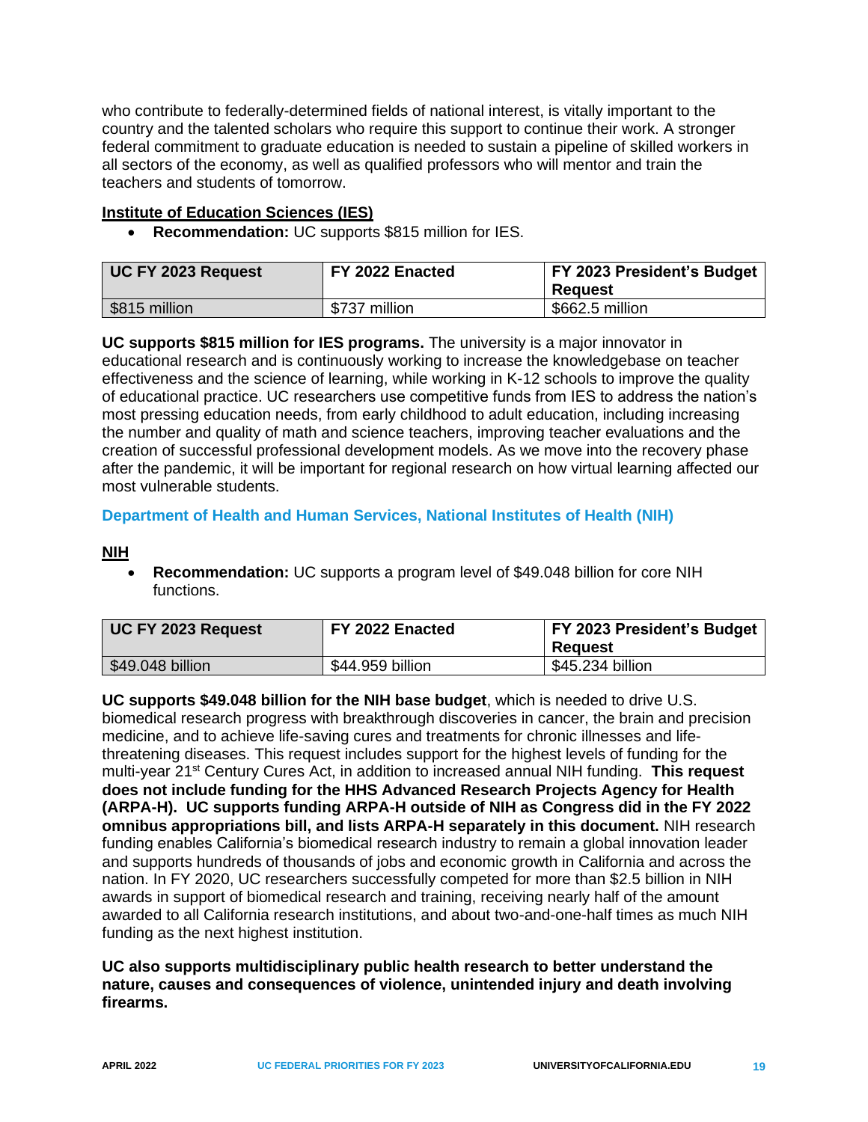who contribute to federally-determined fields of national interest, is vitally important to the country and the talented scholars who require this support to continue their work. A stronger federal commitment to graduate education is needed to sustain a pipeline of skilled workers in all sectors of the economy, as well as qualified professors who will mentor and train the teachers and students of tomorrow.

## <span id="page-21-0"></span>**Institute of Education Sciences (IES)**

• **Recommendation:** UC supports \$815 million for IES.

| <b>UC FY 2023 Request</b> | FY 2022 Enacted | <b>FY 2023 President's Budget</b><br>Reauest |
|---------------------------|-----------------|----------------------------------------------|
| \$815 million             | \$737 million   | \$662.5 million                              |

**UC supports \$815 million for IES programs.** The university is a major innovator in educational research and is continuously working to increase the knowledgebase on teacher effectiveness and the science of learning, while working in K-12 schools to improve the quality of educational practice. UC researchers use competitive funds from IES to address the nation's most pressing education needs, from early childhood to adult education, including increasing the number and quality of math and science teachers, improving teacher evaluations and the creation of successful professional development models. As we move into the recovery phase after the pandemic, it will be important for regional research on how virtual learning affected our most vulnerable students.

#### <span id="page-21-1"></span>**Department of Health and Human Services, National Institutes of Health (NIH)**

#### <span id="page-21-2"></span>**NIH**

• **Recommendation:** UC supports a program level of \$49.048 billion for core NIH functions.

| UC FY 2023 Request | FY 2022 Enacted  | FY 2023 President's Budget<br>Reauest |
|--------------------|------------------|---------------------------------------|
| \$49.048 billion   | \$44.959 billion | \$45.234 billion                      |

**UC supports \$49.048 billion for the NIH base budget**, which is needed to drive U.S. biomedical research progress with breakthrough discoveries in cancer, the brain and precision medicine, and to achieve life-saving cures and treatments for chronic illnesses and lifethreatening diseases. This request includes support for the highest levels of funding for the multi-year 21st Century Cures Act, in addition to increased annual NIH funding. **This request does not include funding for the HHS Advanced Research Projects Agency for Health (ARPA-H). UC supports funding ARPA-H outside of NIH as Congress did in the FY 2022 omnibus appropriations bill, and lists ARPA-H separately in this document.** NIH research funding enables California's biomedical research industry to remain a global innovation leader and supports hundreds of thousands of jobs and economic growth in California and across the nation. In FY 2020, UC researchers successfully competed for more than \$2.5 billion in NIH awards in support of biomedical research and training, receiving nearly half of the amount awarded to all California research institutions, and about two-and-one-half times as much NIH funding as the next highest institution.

**UC also supports multidisciplinary public health research to better understand the nature, causes and consequences of violence, unintended injury and death involving firearms.**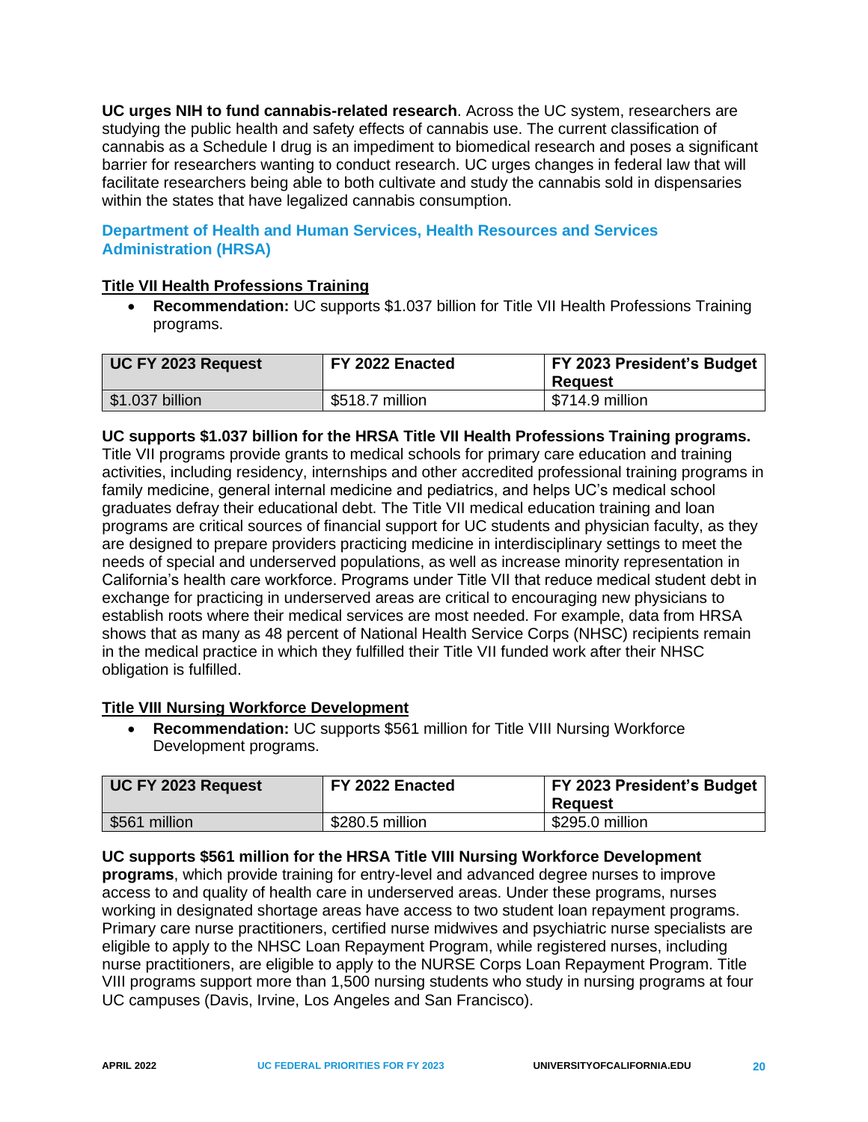**UC urges NIH to fund cannabis-related research**. Across the UC system, researchers are studying the public health and safety effects of cannabis use. The current classification of cannabis as a Schedule I drug is an impediment to biomedical research and poses a significant barrier for researchers wanting to conduct research. UC urges changes in federal law that will facilitate researchers being able to both cultivate and study the cannabis sold in dispensaries within the states that have legalized cannabis consumption.

# <span id="page-22-0"></span>**Department of Health and Human Services, Health Resources and Services Administration (HRSA)**

# <span id="page-22-1"></span>**Title VII Health Professions Training**

• **Recommendation:** UC supports \$1.037 billion for Title VII Health Professions Training programs.

| UC FY 2023 Request            | FY 2022 Enacted | FY 2023 President's Budget<br>Reauest |
|-------------------------------|-----------------|---------------------------------------|
| $\frac{1}{2}$ \$1.037 billion | \$518.7 million | \$714.9 million                       |

## **UC supports \$1.037 billion for the HRSA Title VII Health Professions Training programs.**

Title VII programs provide grants to medical schools for primary care education and training activities, including residency, internships and other accredited professional training programs in family medicine, general internal medicine and pediatrics, and helps UC's medical school graduates defray their educational debt. The Title VII medical education training and loan programs are critical sources of financial support for UC students and physician faculty, as they are designed to prepare providers practicing medicine in interdisciplinary settings to meet the needs of special and underserved populations, as well as increase minority representation in California's health care workforce. Programs under Title VII that reduce medical student debt in exchange for practicing in underserved areas are critical to encouraging new physicians to establish roots where their medical services are most needed. For example, data from HRSA shows that as many as 48 percent of National Health Service Corps (NHSC) recipients remain in the medical practice in which they fulfilled their Title VII funded work after their NHSC obligation is fulfilled.

## <span id="page-22-2"></span>**Title VIII Nursing Workforce Development**

• **Recommendation:** UC supports \$561 million for Title VIII Nursing Workforce Development programs.

| UC FY 2023 Request | FY 2022 Enacted | <b>FY 2023 President's Budget</b><br>Reauest |
|--------------------|-----------------|----------------------------------------------|
| \$561 million      | \$280.5 million | \$295.0 million                              |

## **UC supports \$561 million for the HRSA Title VIII Nursing Workforce Development**

**programs**, which provide training for entry-level and advanced degree nurses to improve access to and quality of health care in underserved areas. Under these programs, nurses working in designated shortage areas have access to two student loan repayment programs. Primary care nurse practitioners, certified nurse midwives and psychiatric nurse specialists are eligible to apply to the NHSC Loan Repayment Program, while registered nurses, including nurse practitioners, are eligible to apply to the NURSE Corps Loan Repayment Program. Title VIII programs support more than 1,500 nursing students who study in nursing programs at four UC campuses (Davis, Irvine, Los Angeles and San Francisco).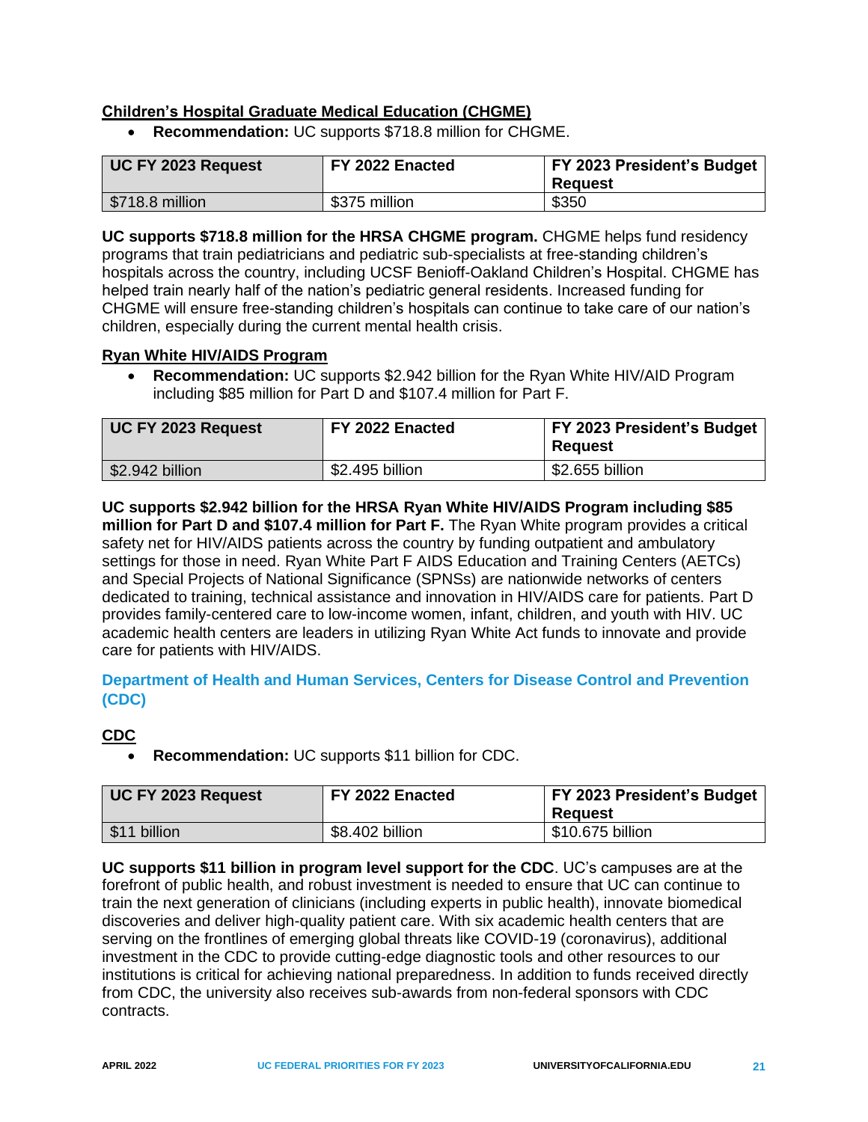## <span id="page-23-0"></span>**Children's Hospital Graduate Medical Education (CHGME)**

• **Recommendation:** UC supports \$718.8 million for CHGME.

| UC FY 2023 Request      | FY 2022 Enacted | FY 2023 President's Budget<br><b>Reguest</b> |
|-------------------------|-----------------|----------------------------------------------|
| $\sqrt{$718.8}$ million | \$375 million   | \$350                                        |

**UC supports \$718.8 million for the HRSA CHGME program.** CHGME helps fund residency programs that train pediatricians and pediatric sub-specialists at free-standing children's hospitals across the country, including UCSF Benioff-Oakland Children's Hospital. CHGME has helped train nearly half of the nation's pediatric general residents. Increased funding for CHGME will ensure free-standing children's hospitals can continue to take care of our nation's children, especially during the current mental health crisis.

#### <span id="page-23-1"></span>**Ryan White HIV/AIDS Program**

• **Recommendation:** UC supports \$2.942 billion for the Ryan White HIV/AID Program including \$85 million for Part D and \$107.4 million for Part F.

| UC FY 2023 Request | FY 2022 Enacted | FY 2023 President's Budget<br><b>Request</b> |
|--------------------|-----------------|----------------------------------------------|
| \$2.942 billion    | \$2.495 billion | \$2.655 billion                              |

**UC supports \$2.942 billion for the HRSA Ryan White HIV/AIDS Program including \$85 million for Part D and \$107.4 million for Part F.** The Ryan White program provides a critical safety net for HIV/AIDS patients across the country by funding outpatient and ambulatory settings for those in need. Ryan White Part F AIDS Education and Training Centers (AETCs) and Special Projects of National Significance (SPNSs) are nationwide networks of centers dedicated to training, technical assistance and innovation in HIV/AIDS care for patients. Part D provides family-centered care to low-income women, infant, children, and youth with HIV. UC academic health centers are leaders in utilizing Ryan White Act funds to innovate and provide care for patients with HIV/AIDS.

<span id="page-23-2"></span>**Department of Health and Human Services, Centers for Disease Control and Prevention (CDC)**

## <span id="page-23-3"></span>**CDC**

• **Recommendation:** UC supports \$11 billion for CDC.

| <b>UC FY 2023 Request</b> | FY 2022 Enacted | FY 2023 President's Budget<br>Reauest |
|---------------------------|-----------------|---------------------------------------|
| \$11 billion              | \$8.402 billion | \$10.675 billion                      |

**UC supports \$11 billion in program level support for the CDC**. UC's campuses are at the forefront of public health, and robust investment is needed to ensure that UC can continue to train the next generation of clinicians (including experts in public health), innovate biomedical discoveries and deliver high-quality patient care. With six academic health centers that are serving on the frontlines of emerging global threats like COVID-19 (coronavirus), additional investment in the CDC to provide cutting-edge diagnostic tools and other resources to our institutions is critical for achieving national preparedness. In addition to funds received directly from CDC, the university also receives sub-awards from non-federal sponsors with CDC contracts.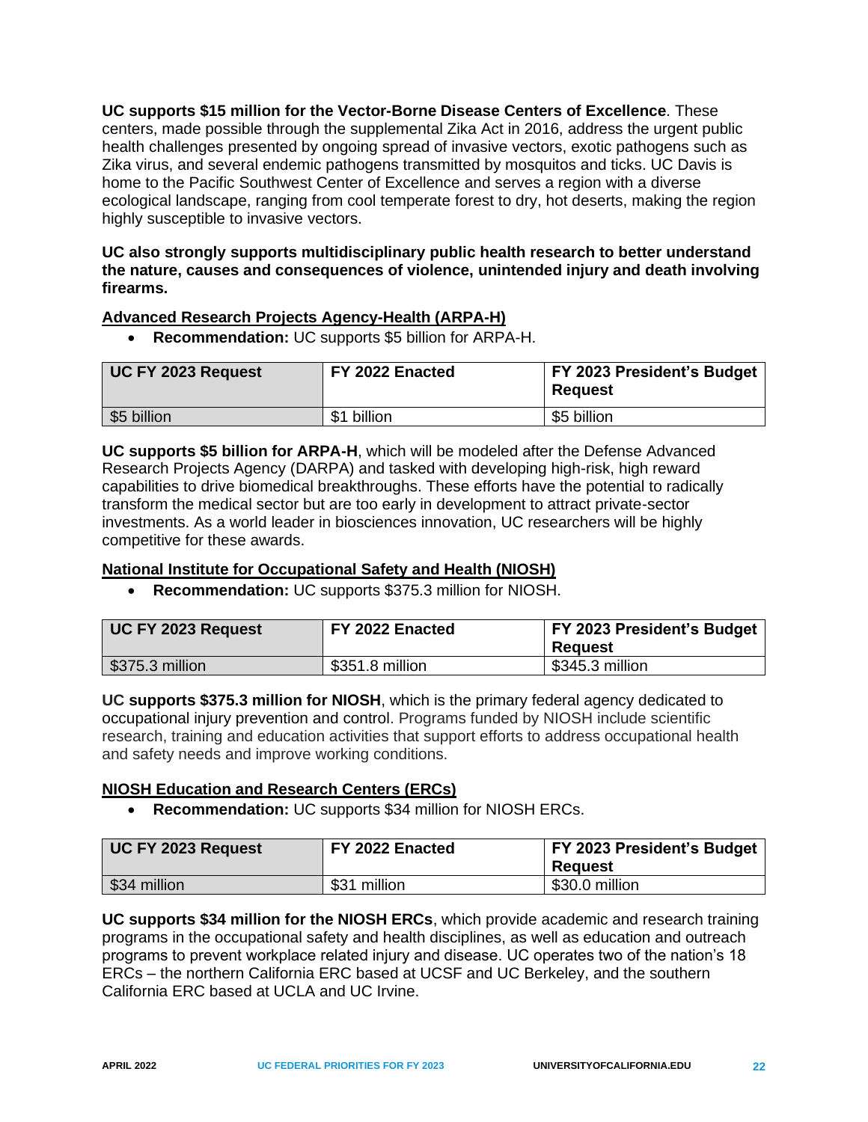**UC supports \$15 million for the Vector-Borne Disease Centers of Excellence**. These centers, made possible through the supplemental Zika Act in 2016, address the urgent public health challenges presented by ongoing spread of invasive vectors, exotic pathogens such as Zika virus, and several endemic pathogens transmitted by mosquitos and ticks. UC Davis is home to the Pacific Southwest Center of Excellence and serves a region with a diverse ecological landscape, ranging from cool temperate forest to dry, hot deserts, making the region highly susceptible to invasive vectors.

#### **UC also strongly supports multidisciplinary public health research to better understand the nature, causes and consequences of violence, unintended injury and death involving firearms.**

#### <span id="page-24-0"></span>**Advanced Research Projects Agency-Health (ARPA-H)**

• **Recommendation:** UC supports \$5 billion for ARPA-H.

| UC FY 2023 Request | FY 2022 Enacted | FY 2023 President's Budget<br><b>Request</b> |
|--------------------|-----------------|----------------------------------------------|
| \$5 billion        | billion<br>\$1  | \$5 billion                                  |

**UC supports \$5 billion for ARPA-H**, which will be modeled after the Defense Advanced Research Projects Agency (DARPA) and tasked with developing high-risk, high reward capabilities to drive biomedical breakthroughs. These efforts have the potential to radically transform the medical sector but are too early in development to attract private-sector investments. As a world leader in biosciences innovation, UC researchers will be highly competitive for these awards.

## <span id="page-24-1"></span>**National Institute for Occupational Safety and Health (NIOSH)**

• **Recommendation:** UC supports \$375.3 million for NIOSH.

| UC FY 2023 Request | FY 2022 Enacted | <b>FY 2023 President's Budget</b><br>Reauest |
|--------------------|-----------------|----------------------------------------------|
| $$375.3$ million   | \$351.8 million | \$345.3 million                              |

**UC supports \$375.3 million for NIOSH**, which is the primary federal agency dedicated to occupational injury prevention and control. Programs funded by NIOSH include scientific research, training and education activities that support efforts to address occupational health and safety needs and improve working conditions.

#### <span id="page-24-2"></span>**NIOSH Education and Research Centers (ERCs)**

• **Recommendation:** UC supports \$34 million for NIOSH ERCs.

| UC FY 2023 Request | FY 2022 Enacted | FY 2023 President's Budget<br><b>Request</b> |
|--------------------|-----------------|----------------------------------------------|
| \$34 million       | \$31 million    | \$30.0 million                               |

**UC supports \$34 million for the NIOSH ERCs**, which provide academic and research training programs in the occupational safety and health disciplines, as well as education and outreach programs to prevent workplace related injury and disease. UC operates two of the nation's 18 ERCs – the northern California ERC based at UCSF and UC Berkeley, and the southern California ERC based at UCLA and UC Irvine.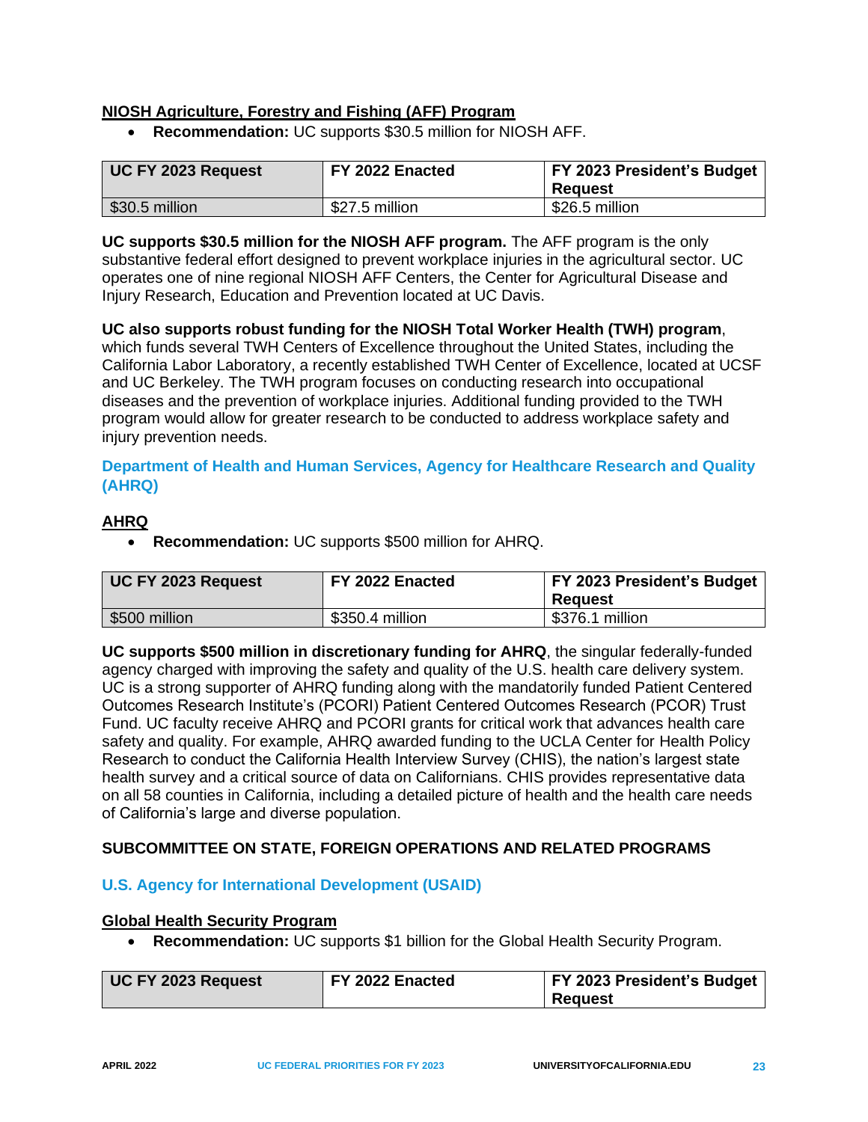## <span id="page-25-0"></span>**NIOSH Agriculture, Forestry and Fishing (AFF) Program**

• **Recommendation:** UC supports \$30.5 million for NIOSH AFF.

| UC FY 2023 Request | FY 2022 Enacted | <b>FY 2023 President's Budget</b><br>Reauest |
|--------------------|-----------------|----------------------------------------------|
| \$30.5 million     | \$27.5 million  | \$26.5 million                               |

**UC supports \$30.5 million for the NIOSH AFF program.** The AFF program is the only substantive federal effort designed to prevent workplace injuries in the agricultural sector. UC operates one of nine regional NIOSH AFF Centers, the Center for Agricultural Disease and Injury Research, Education and Prevention located at UC Davis.

**UC also supports robust funding for the NIOSH Total Worker Health (TWH) program**, which funds several TWH Centers of Excellence throughout the United States, including the California Labor Laboratory, a recently established TWH Center of Excellence, located at UCSF and UC Berkeley. The TWH program focuses on conducting research into occupational diseases and the prevention of workplace injuries. Additional funding provided to the TWH program would allow for greater research to be conducted to address workplace safety and injury prevention needs.

## <span id="page-25-1"></span>**Department of Health and Human Services, Agency for Healthcare Research and Quality (AHRQ)**

## <span id="page-25-2"></span>**AHRQ**

• **Recommendation:** UC supports \$500 million for AHRQ.

| UC FY 2023 Request | FY 2022 Enacted | <b>FY 2023 President's Budget</b><br>Reguest |
|--------------------|-----------------|----------------------------------------------|
| \$500 million      | \$350.4 million | \$376.1 million                              |

**UC supports \$500 million in discretionary funding for AHRQ**, the singular federally-funded agency charged with improving the safety and quality of the U.S. health care delivery system. UC is a strong supporter of AHRQ funding along with the mandatorily funded Patient Centered Outcomes Research Institute's (PCORI) Patient Centered Outcomes Research (PCOR) Trust Fund. UC faculty receive AHRQ and PCORI grants for critical work that advances health care safety and quality. For example, AHRQ awarded funding to the UCLA Center for Health Policy Research to conduct the California Health Interview Survey (CHIS), the nation's largest state health survey and a critical source of data on Californians. CHIS provides representative data on all 58 counties in California, including a detailed picture of health and the health care needs of California's large and diverse population.

## <span id="page-25-3"></span>**SUBCOMMITTEE ON STATE, FOREIGN OPERATIONS AND RELATED PROGRAMS**

## <span id="page-25-4"></span>**U.S. Agency for International Development (USAID)**

#### <span id="page-25-5"></span>**Global Health Security Program**

• **Recommendation:** UC supports \$1 billion for the Global Health Security Program.

| UC FY 2023 Request | FY 2022 Enacted | <b>FY 2023 President's Budget</b> |
|--------------------|-----------------|-----------------------------------|
|                    |                 | <b>Reguest</b>                    |